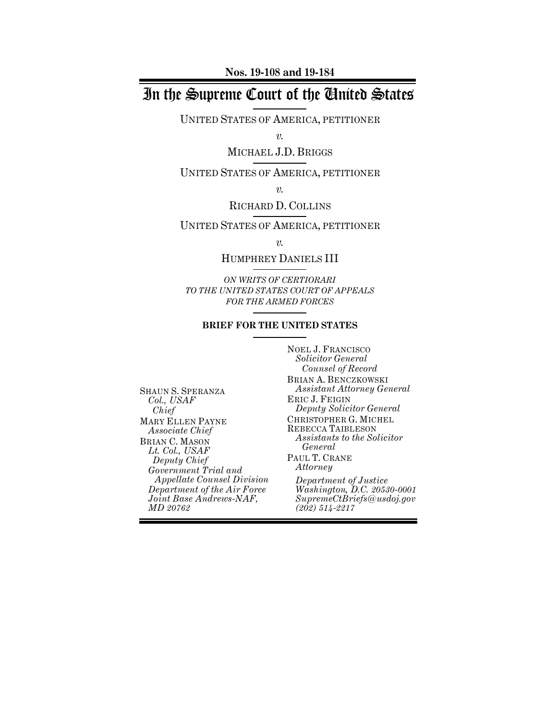**Nos. 19-108 and 19-184**

# In the Supreme Court of the United States

UNITED STATES OF AMERICA, PETITIONER

*v.*

MICHAEL J.D. BRIGGS

UNITED STATES OF AMERICA, PETITIONER

*v.*

# RICHARD D. COLLINS

UNITED STATES OF AMERICA, PETITIONER

*v.*

HUMPHREY DANIELS III

*ON WRITS OF CERTIORARI TO THE UNITED STATES COURT OF APPEALS FOR THE ARMED FORCES*

### **BRIEF FOR THE UNITED STATES**

SHAUN S. SPERANZA *Col., USAF Chief* MARY ELLEN PAYNE *Associate Chief* BRIAN C. MASON *Lt. Col., USAF Deputy Chief Government Trial and Appellate Counsel Division Department of the Air Force Joint Base Andrews-NAF, MD 20762*

NOEL J. FRANCISCO *Solicitor General Counsel of Record* BRIAN A. BENCZKOWSKI *Assistant Attorney General* ERIC J. FEIGIN *Deputy Solicitor General* CHRISTOPHER G. MICHEL REBECCA TAIBLESON *Assistants to the Solicitor General* PAUL T. CRANE *Attorney Department of Justice Washington, D.C. 20530-0001 SupremeCtBriefs@usdoj.gov*

*(202) 514-2217*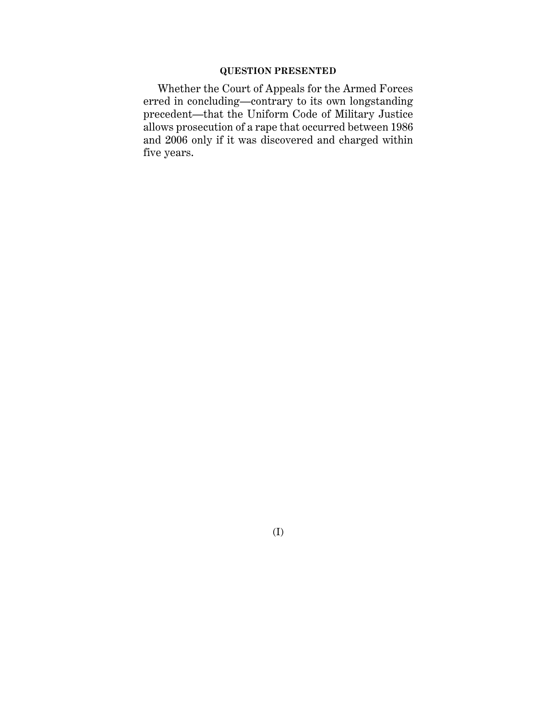# **QUESTION PRESENTED**

Whether the Court of Appeals for the Armed Forces erred in concluding—contrary to its own longstanding precedent—that the Uniform Code of Military Justice allows prosecution of a rape that occurred between 1986 and 2006 only if it was discovered and charged within five years.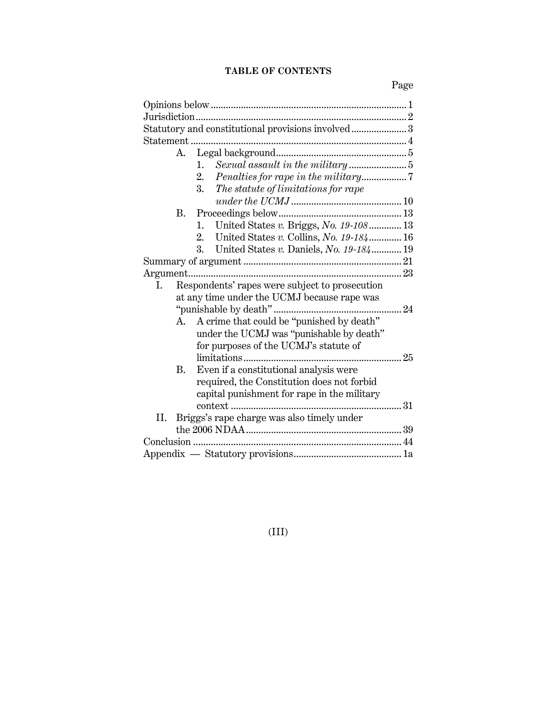# **TABLE OF CONTENTS**

Page

|     |           | Statutory and constitutional provisions involved 3 |
|-----|-----------|----------------------------------------------------|
|     |           |                                                    |
|     | А.        |                                                    |
|     |           | Sexual assault in the military 5<br>1.             |
|     |           | 2.                                                 |
|     |           | 3.<br>The statute of limitations for rape          |
|     |           |                                                    |
|     | В.        |                                                    |
|     |           | United States v. Briggs, No. 19-108 13<br>1.       |
|     |           | United States v. Collins, No. $19-184$ 16<br>2.    |
|     |           | United States v. Daniels, No. 19-184 19<br>3.      |
|     |           |                                                    |
|     |           |                                                    |
| L.  |           | Respondents' rapes were subject to prosecution     |
|     |           | at any time under the UCMJ because rape was        |
|     |           |                                                    |
|     | А.        | A crime that could be "punished by death"          |
|     |           | under the UCMJ was "punishable by death"           |
|     |           | for purposes of the UCMJ's statute of              |
|     |           |                                                    |
|     | <b>B.</b> | Even if a constitutional analysis were             |
|     |           | required, the Constitution does not forbid         |
|     |           | capital punishment for rape in the military        |
|     |           |                                                    |
| II. |           | Briggs's rape charge was also timely under         |
|     |           |                                                    |
|     |           |                                                    |
|     |           |                                                    |
|     |           |                                                    |

(III)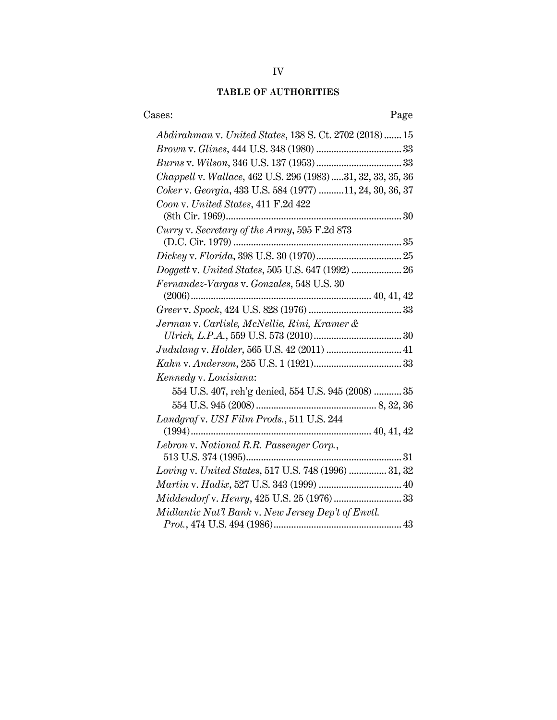# **TABLE OF AUTHORITIES**

| Cases:<br>Page                                             |  |
|------------------------------------------------------------|--|
| Abdirahman v. United States, 138 S. Ct. 2702 (2018)  15    |  |
|                                                            |  |
|                                                            |  |
| Chappell v. Wallace, 462 U.S. 296 (1983)31, 32, 33, 35, 36 |  |
| Coker v. Georgia, 433 U.S. 584 (1977) 11, 24, 30, 36, 37   |  |
| Coon v. United States, 411 F.2d 422                        |  |
|                                                            |  |
| Curry v. Secretary of the Army, 595 F.2d 873               |  |
|                                                            |  |
|                                                            |  |
|                                                            |  |
| Fernandez-Vargas v. Gonzales, 548 U.S. 30                  |  |
|                                                            |  |
|                                                            |  |
| Jerman v. Carlisle, McNellie, Rini, Kramer &               |  |
|                                                            |  |
| Judulang v. Holder, 565 U.S. 42 (2011)  41                 |  |
|                                                            |  |
| Kennedy v. Louisiana:                                      |  |
| 554 U.S. 407, reh'g denied, 554 U.S. 945 (2008)  35        |  |
|                                                            |  |
| Landgraf v. USI Film Prods., 511 U.S. 244                  |  |
|                                                            |  |
| Lebron v. National R.R. Passenger Corp.,                   |  |
|                                                            |  |
| Loving v. United States, 517 U.S. 748 (1996)  31, 32       |  |
|                                                            |  |
|                                                            |  |
| Midlantic Nat'l Bank v. New Jersey Dep't of Envtl.         |  |
|                                                            |  |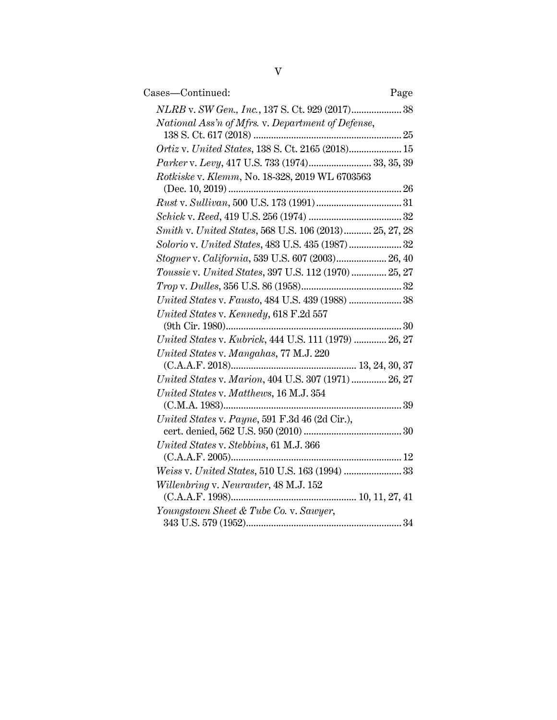| Cases—Continued:                                       | Page |
|--------------------------------------------------------|------|
| NLRB v. SW Gen., Inc., 137 S. Ct. 929 (2017) 38        |      |
| National Ass'n of Mfrs. v. Department of Defense,      |      |
|                                                        |      |
| Ortiz v. United States, 138 S. Ct. 2165 (2018) 15      |      |
| Parker v. Levy, 417 U.S. 733 (1974) 33, 35, 39         |      |
| Rotkiske v. Klemm, No. 18-328, 2019 WL 6703563         |      |
|                                                        |      |
|                                                        |      |
|                                                        |      |
| Smith v. United States, 568 U.S. 106 (2013) 25, 27, 28 |      |
| Solorio v. United States, 483 U.S. 435 (1987) 32       |      |
| Stogner v. California, 539 U.S. 607 (2003) 26, 40      |      |
| Toussie v. United States, 397 U.S. 112 (1970)  25, 27  |      |
|                                                        |      |
| United States v. Fausto, 484 U.S. 439 (1988)  38       |      |
| United States v. Kennedy, 618 F.2d 557                 |      |
|                                                        |      |
| United States v. Kubrick, 444 U.S. 111 (1979)  26, 27  |      |
| United States v. Mangahas, 77 M.J. 220                 |      |
|                                                        |      |
| United States v. Marion, 404 U.S. 307 (1971)  26, 27   |      |
| United States v. Matthews, 16 M.J. 354                 |      |
|                                                        |      |
| United States v. Payne, 591 F.3d 46 (2d Cir.),         |      |
|                                                        |      |
| United States v. Stebbins, 61 M.J. 366                 |      |
|                                                        |      |
| Weiss v. United States, 510 U.S. 163 (1994)  33        |      |
| Willenbring v. Neurauter, 48 M.J. 152                  |      |
|                                                        |      |
| Youngstown Sheet & Tube Co. v. Sawyer,                 |      |
|                                                        |      |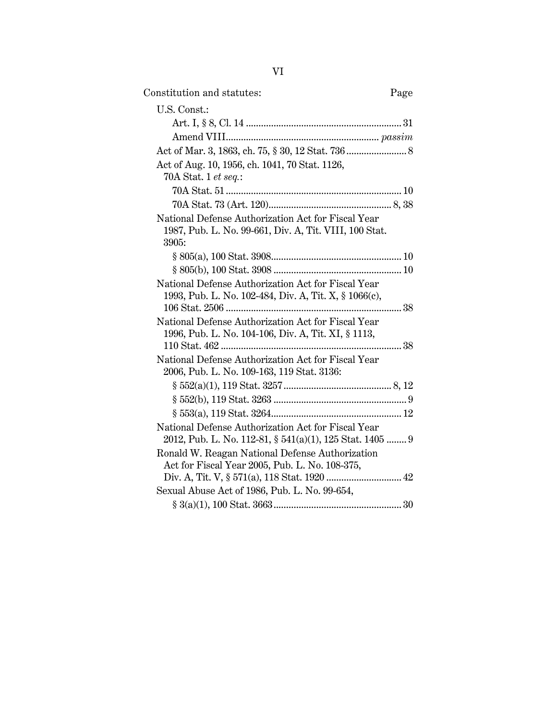| Constitution and statutes:                                                                                            | Page |
|-----------------------------------------------------------------------------------------------------------------------|------|
| U.S. Const.:                                                                                                          |      |
|                                                                                                                       |      |
|                                                                                                                       |      |
|                                                                                                                       |      |
| Act of Aug. 10, 1956, ch. 1041, 70 Stat. 1126,                                                                        |      |
| 70A Stat. 1 <i>et seq.</i> :                                                                                          |      |
|                                                                                                                       |      |
|                                                                                                                       |      |
| National Defense Authorization Act for Fiscal Year<br>1987, Pub. L. No. 99-661, Div. A, Tit. VIII, 100 Stat.<br>3905: |      |
|                                                                                                                       |      |
|                                                                                                                       |      |
| National Defense Authorization Act for Fiscal Year<br>1993, Pub. L. No. 102-484, Div. A, Tit. X, § 1066(c),           |      |
| National Defense Authorization Act for Fiscal Year<br>1996, Pub. L. No. 104-106, Div. A, Tit. XI, § 1113,             |      |
| National Defense Authorization Act for Fiscal Year<br>2006, Pub. L. No. 109-163, 119 Stat. 3136:                      |      |
|                                                                                                                       |      |
|                                                                                                                       |      |
|                                                                                                                       |      |
| National Defense Authorization Act for Fiscal Year<br>2012, Pub. L. No. 112-81, § 541(a)(1), 125 Stat. 1405  9        |      |
| Ronald W. Reagan National Defense Authorization                                                                       |      |
| Act for Fiscal Year 2005, Pub. L. No. 108-375,                                                                        |      |
|                                                                                                                       |      |
| Sexual Abuse Act of 1986, Pub. L. No. 99-654,                                                                         |      |
|                                                                                                                       |      |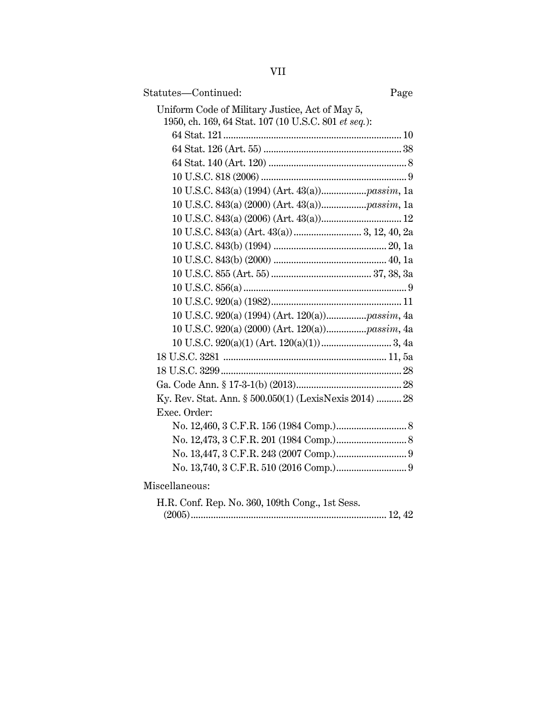| ×, |  |
|----|--|
|    |  |

| Statutes-Continued:                                    | Page |
|--------------------------------------------------------|------|
| Uniform Code of Military Justice, Act of May 5,        |      |
| 1950, ch. 169, 64 Stat. 107 (10 U.S.C. 801 et seq.):   |      |
|                                                        |      |
|                                                        |      |
|                                                        |      |
|                                                        |      |
|                                                        |      |
|                                                        |      |
|                                                        |      |
|                                                        |      |
|                                                        |      |
|                                                        |      |
|                                                        |      |
|                                                        |      |
|                                                        |      |
|                                                        |      |
|                                                        |      |
|                                                        |      |
|                                                        |      |
|                                                        |      |
|                                                        |      |
| Ky. Rev. Stat. Ann. § 500.050(1) (LexisNexis 2014)  28 |      |
| Exec. Order:                                           |      |
|                                                        |      |
|                                                        |      |
|                                                        |      |
|                                                        |      |
| Miscellaneous:                                         |      |
| H.R. Conf. Rep. No. 360, 109th Cong., 1st Sess.        |      |
|                                                        |      |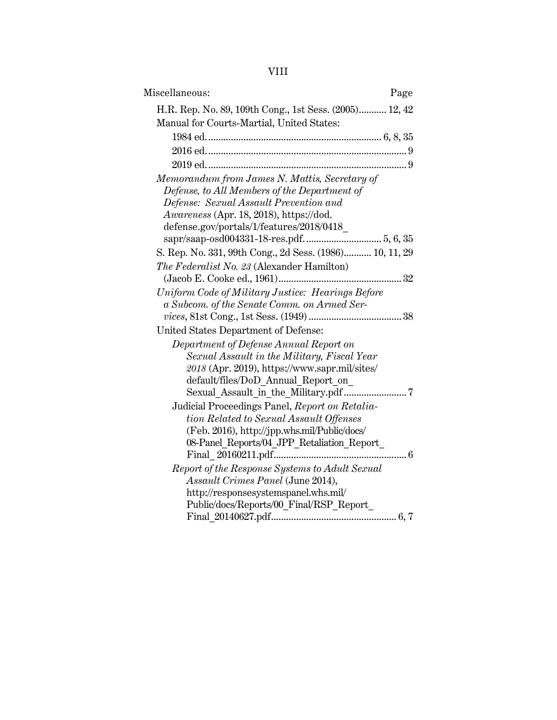# VIII

| Miscellaneous:<br>Page                                  |
|---------------------------------------------------------|
| H.R. Rep. No. 89, 109th Cong., 1st Sess. (2005) 12, 42  |
| Manual for Courts-Martial, United States:               |
|                                                         |
|                                                         |
|                                                         |
| Memorandum from James N. Mattis, Secretary of           |
| Defense, to All Members of the Department of            |
| Defense: Sexual Assault Prevention and                  |
| Awareness (Apr. 18, 2018), https://dod.                 |
| defense.gov/portals/1/features/2018/0418_               |
|                                                         |
| S. Rep. No. 331, 99th Cong., 2d Sess. (1986) 10, 11, 29 |
| The Federalist No. 23 (Alexander Hamilton)              |
|                                                         |
| Uniform Code of Military Justice: Hearings Before       |
| a Subcom. of the Senate Comm. on Armed Ser-             |
|                                                         |
| United States Department of Defense:                    |
| Department of Defense Annual Report on                  |
| Sexual Assault in the Military, Fiscal Year             |
| 2018 (Apr. 2019), https://www.sapr.mil/sites/           |
| default/files/DoD Annual Report on                      |
|                                                         |
| Judicial Proceedings Panel, Report on Retalia-          |
| tion Related to Sexual Assault Offenses                 |
| (Feb. 2016), http://jpp.whs.mil/Public/docs/            |
| 08-Panel_Reports/04_JPP_Retaliation_Report_             |
|                                                         |
| Report of the Response Systems to Adult Sexual          |
| Assault Crimes Panel (June 2014),                       |
| http://responsesystemspanel.whs.mil/                    |
| Public/docs/Reports/00_Final/RSP_Report_                |
|                                                         |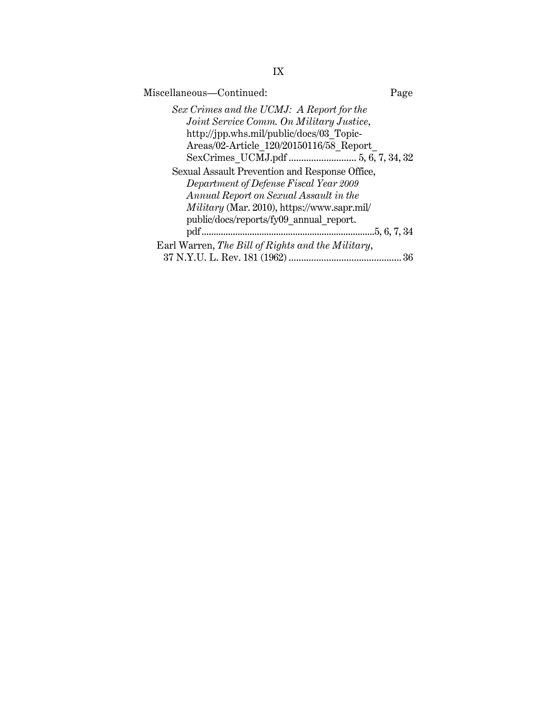| Miscellaneous-Continued:                                                                                                                                                     | Page         |
|------------------------------------------------------------------------------------------------------------------------------------------------------------------------------|--------------|
| Sex Crimes and the UCMJ: A Report for the<br>Joint Service Comm. On Military Justice,<br>http://jpp.whs.mil/public/docs/03 Topic-<br>Areas/02-Article 120/20150116/58 Report |              |
| Sexual Assault Prevention and Response Office,                                                                                                                               |              |
| Department of Defense Fiscal Year 2009<br>Annual Report on Sexual Assault in the                                                                                             |              |
| Military (Mar. 2010), https://www.sapr.mil/<br>public/docs/reports/fy09 annual report.                                                                                       |              |
|                                                                                                                                                                              | .5, 6, 7, 34 |
| Earl Warren, The Bill of Rights and the Military,                                                                                                                            |              |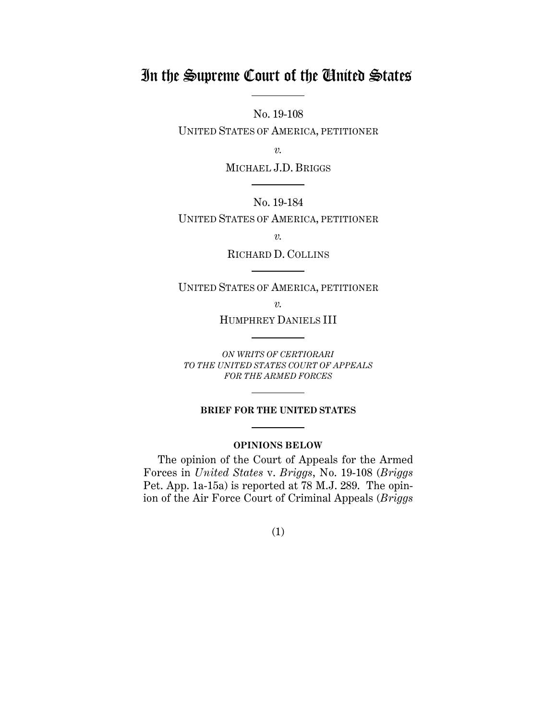# In the Supreme Court of the United States

No. 19-108

UNITED STATES OF AMERICA, PETITIONER

*v.*

MICHAEL J.D. BRIGGS

No. 19-184

UNITED STATES OF AMERICA, PETITIONER

*v.*

RICHARD D. COLLINS

UNITED STATES OF AMERICA, PETITIONER

*v.*

HUMPHREY DANIELS III

*ON WRITS OF CERTIORARI TO THE UNITED STATES COURT OF APPEALS FOR THE ARMED FORCES*

## **BRIEF FOR THE UNITED STATES Contract Contract Contract**

# **OPINIONS BELOW**

The opinion of the Court of Appeals for the Armed Forces in *United States* v. *Briggs*, No. 19-108 (*Briggs* Pet. App. 1a-15a) is reported at 78 M.J. 289. The opinion of the Air Force Court of Criminal Appeals (*Briggs*

(1)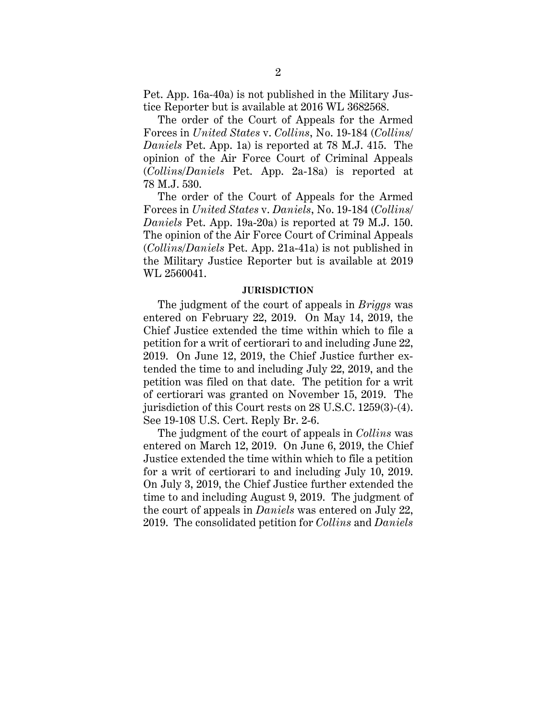Pet. App. 16a-40a) is not published in the Military Justice Reporter but is available at 2016 WL 3682568.

The order of the Court of Appeals for the Armed Forces in *United States* v. *Collins*, No. 19-184 (*Collins/ Daniels* Pet. App. 1a) is reported at 78 M.J. 415. The opinion of the Air Force Court of Criminal Appeals (*Collins/Daniels* Pet. App. 2a-18a) is reported at 78 M.J. 530.

The order of the Court of Appeals for the Armed Forces in *United States* v. *Daniels*, No. 19-184 (*Collins/ Daniels* Pet. App. 19a-20a) is reported at 79 M.J. 150. The opinion of the Air Force Court of Criminal Appeals (*Collins/Daniels* Pet. App. 21a-41a) is not published in the Military Justice Reporter but is available at 2019 WL 2560041.

### **JURISDICTION**

The judgment of the court of appeals in *Briggs* was entered on February 22, 2019. On May 14, 2019, the Chief Justice extended the time within which to file a petition for a writ of certiorari to and including June 22, 2019. On June 12, 2019, the Chief Justice further extended the time to and including July 22, 2019, and the petition was filed on that date. The petition for a writ of certiorari was granted on November 15, 2019. The jurisdiction of this Court rests on 28 U.S.C. 1259(3)-(4). See 19-108 U.S. Cert. Reply Br. 2-6.

The judgment of the court of appeals in *Collins* was entered on March 12, 2019. On June 6, 2019, the Chief Justice extended the time within which to file a petition for a writ of certiorari to and including July 10, 2019. On July 3, 2019, the Chief Justice further extended the time to and including August 9, 2019. The judgment of the court of appeals in *Daniels* was entered on July 22, 2019. The consolidated petition for *Collins* and *Daniels*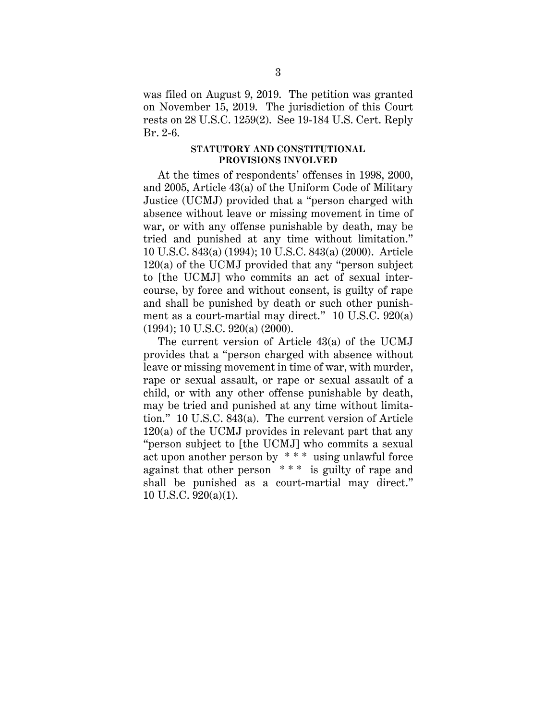was filed on August 9, 2019. The petition was granted on November 15, 2019. The jurisdiction of this Court rests on 28 U.S.C. 1259(2). See 19-184 U.S. Cert. Reply Br. 2-6.

### **STATUTORY AND CONSTITUTIONAL PROVISIONS INVOLVED**

At the times of respondents' offenses in 1998, 2000, and 2005, Article 43(a) of the Uniform Code of Military Justice (UCMJ) provided that a "person charged with absence without leave or missing movement in time of war, or with any offense punishable by death, may be tried and punished at any time without limitation." 10 U.S.C. 843(a) (1994); 10 U.S.C. 843(a) (2000). Article 120(a) of the UCMJ provided that any "person subject to [the UCMJ] who commits an act of sexual intercourse, by force and without consent, is guilty of rape and shall be punished by death or such other punishment as a court-martial may direct." 10 U.S.C. 920(a) (1994); 10 U.S.C. 920(a) (2000).

The current version of Article 43(a) of the UCMJ provides that a "person charged with absence without leave or missing movement in time of war, with murder, rape or sexual assault, or rape or sexual assault of a child, or with any other offense punishable by death, may be tried and punished at any time without limitation." 10 U.S.C. 843(a). The current version of Article 120(a) of the UCMJ provides in relevant part that any "person subject to [the UCMJ] who commits a sexual act upon another person by \* \* \* using unlawful force against that other person \* \* \* is guilty of rape and shall be punished as a court-martial may direct." 10 U.S.C. 920(a)(1).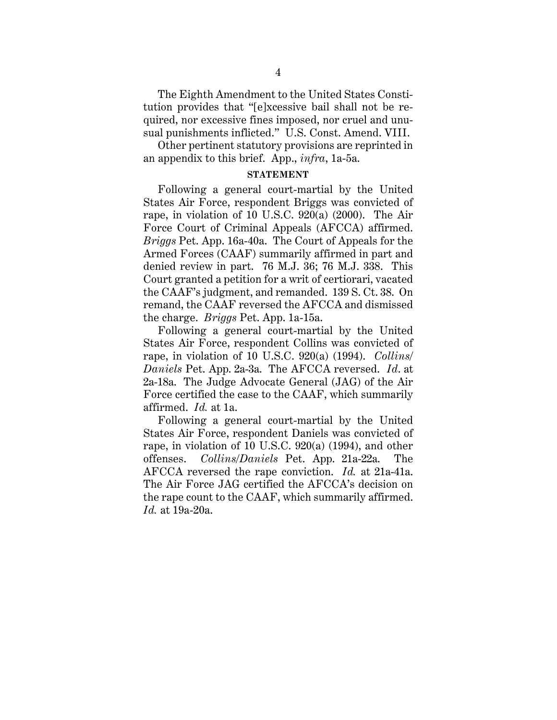The Eighth Amendment to the United States Constitution provides that "[e]xcessive bail shall not be required, nor excessive fines imposed, nor cruel and unusual punishments inflicted." U.S. Const. Amend. VIII.

Other pertinent statutory provisions are reprinted in an appendix to this brief. App., *infra*, 1a-5a.

## **STATEMENT**

Following a general court-martial by the United States Air Force, respondent Briggs was convicted of rape, in violation of 10 U.S.C. 920(a) (2000). The Air Force Court of Criminal Appeals (AFCCA) affirmed. *Briggs* Pet. App. 16a-40a. The Court of Appeals for the Armed Forces (CAAF) summarily affirmed in part and denied review in part. 76 M.J. 36; 76 M.J. 338. This Court granted a petition for a writ of certiorari, vacated the CAAF's judgment, and remanded. 139 S. Ct. 38. On remand, the CAAF reversed the AFCCA and dismissed the charge. *Briggs* Pet. App. 1a-15a.

Following a general court-martial by the United States Air Force, respondent Collins was convicted of rape, in violation of 10 U.S.C. 920(a) (1994). *Collins/ Daniels* Pet. App. 2a-3a. The AFCCA reversed. *Id*. at 2a-18a. The Judge Advocate General (JAG) of the Air Force certified the case to the CAAF, which summarily affirmed. *Id.* at 1a.

Following a general court-martial by the United States Air Force, respondent Daniels was convicted of rape, in violation of 10 U.S.C. 920(a) (1994), and other offenses. *Collins/Daniels* Pet. App. 21a-22a. The AFCCA reversed the rape conviction. *Id.* at 21a-41a. The Air Force JAG certified the AFCCA's decision on the rape count to the CAAF, which summarily affirmed. *Id.* at 19a-20a.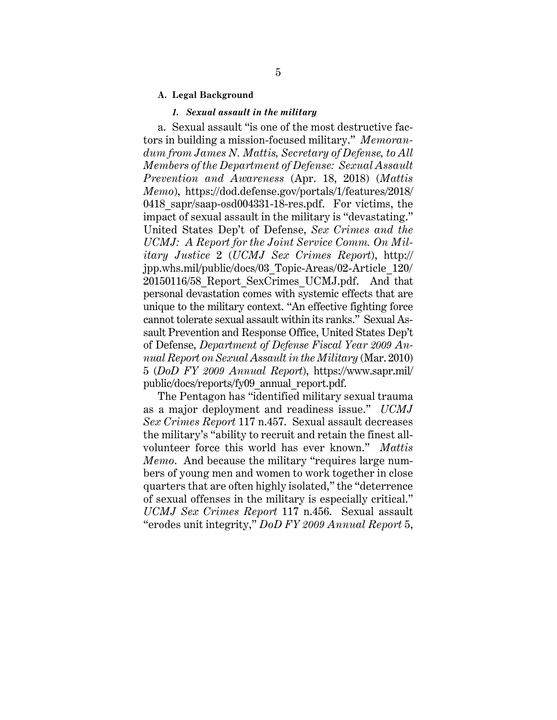### **A. Legal Background**

### *1. Sexual assault in the military*

a. Sexual assault "is one of the most destructive factors in building a mission-focused military." *Memorandum from James N. Mattis, Secretary of Defense, to All Members of the Department of Defense: Sexual Assault Prevention and Awareness* (Apr. 18, 2018) (*Mattis Memo*), https://dod.defense.gov/portals/1/features/2018/ 0418 sapr/saap-osd004331-18-res.pdf. For victims, the impact of sexual assault in the military is "devastating." United States Dep't of Defense, *Sex Crimes and the UCMJ: A Report for the Joint Service Comm. On Military Justice* 2 (*UCMJ Sex Crimes Report*), http:// jpp.whs.mil/public/docs/03\_Topic-Areas/02-Article\_120/ 20150116/58\_Report\_SexCrimes\_UCMJ.pdf. And that personal devastation comes with systemic effects that are unique to the military context. "An effective fighting force cannot tolerate sexual assault within its ranks." Sexual Assault Prevention and Response Office, United States Dep't of Defense, *Department of Defense Fiscal Year 2009 Annual Report on Sexual Assault in the Military* (Mar. 2010) 5 (*DoD FY 2009 Annual Report*), https://www.sapr.mil/ public/docs/reports/fy09\_annual\_report.pdf.

The Pentagon has "identified military sexual trauma as a major deployment and readiness issue." *UCMJ Sex Crimes Report* 117 n.457. Sexual assault decreases the military's "ability to recruit and retain the finest allvolunteer force this world has ever known." *Mattis Memo*. And because the military "requires large numbers of young men and women to work together in close quarters that are often highly isolated," the "deterrence of sexual offenses in the military is especially critical." *UCMJ Sex Crimes Report* 117 n.456. Sexual assault "erodes unit integrity," *DoD FY 2009 Annual Report* 5,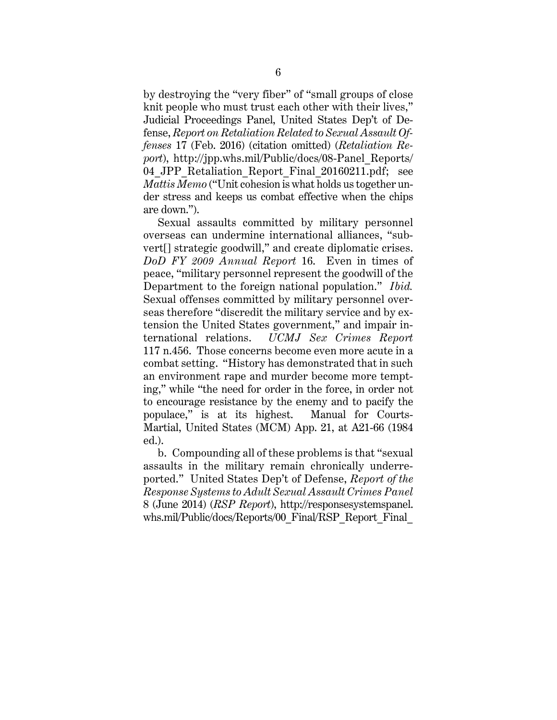by destroying the "very fiber" of "small groups of close knit people who must trust each other with their lives," Judicial Proceedings Panel, United States Dep't of Defense, *Report on Retaliation Related to Sexual Assault Offenses* 17 (Feb. 2016) (citation omitted) (*Retaliation Report*), http://jpp.whs.mil/Public/docs/08-Panel\_Reports/ 04 JPP Retaliation Report Final 20160211.pdf; see *Mattis Memo* ("Unit cohesion is what holds us together under stress and keeps us combat effective when the chips are down.").

Sexual assaults committed by military personnel overseas can undermine international alliances, "subvert[] strategic goodwill," and create diplomatic crises. *DoD FY 2009 Annual Report* 16. Even in times of peace, "military personnel represent the goodwill of the Department to the foreign national population." *Ibid.* Sexual offenses committed by military personnel overseas therefore "discredit the military service and by extension the United States government," and impair international relations. *UCMJ Sex Crimes Report* 117 n.456. Those concerns become even more acute in a combat setting. "History has demonstrated that in such an environment rape and murder become more tempting," while "the need for order in the force, in order not to encourage resistance by the enemy and to pacify the populace," is at its highest. Manual for Courts-Martial, United States (MCM) App. 21, at A21-66 (1984 ed.).

b. Compounding all of these problems is that "sexual assaults in the military remain chronically underreported." United States Dep't of Defense, *Report of the Response Systems to Adult Sexual Assault Crimes Panel* 8 (June 2014) (*RSP Report*), http://responsesystemspanel. whs.mil/Public/docs/Reports/00\_Final/RSP\_Report\_Final\_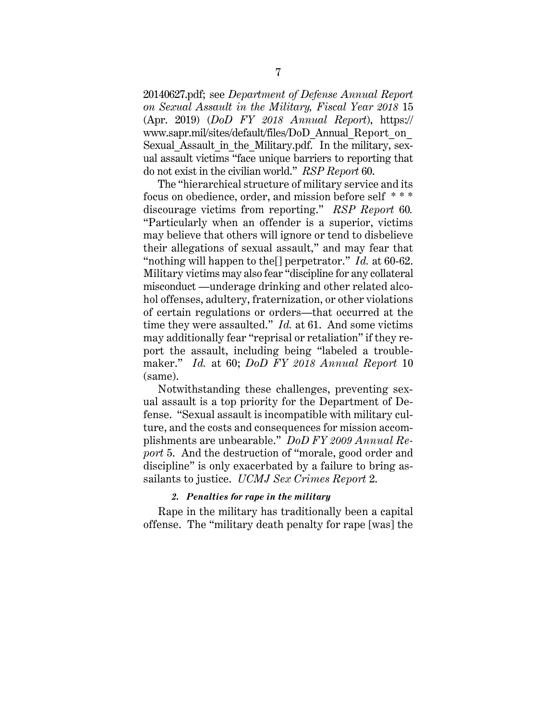20140627.pdf; see *Department of Defense Annual Report on Sexual Assault in the Military, Fiscal Year 2018* 15 (Apr. 2019) (*DoD FY 2018 Annual Report*), https:// www.sapr.mil/sites/default/files/DoD\_Annual\_Report\_on\_ Sexual Assault in the Military.pdf. In the military, sexual assault victims "face unique barriers to reporting that do not exist in the civilian world." *RSP Report* 60.

The "hierarchical structure of military service and its focus on obedience, order, and mission before self \* \* \* discourage victims from reporting." *RSP Report* 60*.* "Particularly when an offender is a superior, victims may believe that others will ignore or tend to disbelieve their allegations of sexual assault," and may fear that "nothing will happen to the[] perpetrator." *Id.* at 60-62. Military victims may also fear "discipline for any collateral misconduct —underage drinking and other related alcohol offenses, adultery, fraternization, or other violations of certain regulations or orders—that occurred at the time they were assaulted." *Id.* at 61. And some victims may additionally fear "reprisal or retaliation" if they report the assault, including being "labeled a troublemaker." *Id.* at 60; *DoD FY 2018 Annual Report* 10 (same).

Notwithstanding these challenges, preventing sexual assault is a top priority for the Department of Defense. "Sexual assault is incompatible with military culture, and the costs and consequences for mission accomplishments are unbearable." *DoD FY 2009 Annual Report* 5. And the destruction of "morale, good order and discipline" is only exacerbated by a failure to bring assailants to justice. *UCMJ Sex Crimes Report* 2.

### *2. Penalties for rape in the military*

Rape in the military has traditionally been a capital offense. The "military death penalty for rape [was] the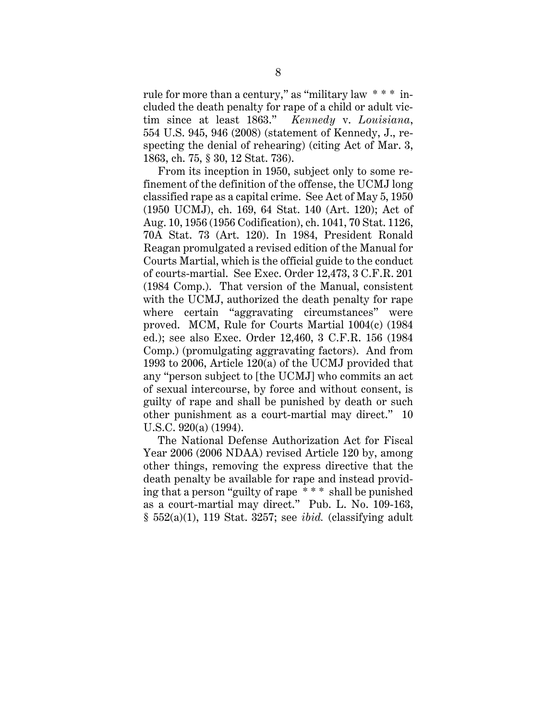rule for more than a century," as "military law \* \* \* included the death penalty for rape of a child or adult victim since at least 1863." *Kennedy* v. *Louisiana*, 554 U.S. 945, 946 (2008) (statement of Kennedy, J., respecting the denial of rehearing) (citing Act of Mar. 3, 1863, ch. 75, § 30, 12 Stat. 736).

From its inception in 1950, subject only to some refinement of the definition of the offense, the UCMJ long classified rape as a capital crime. See Act of May 5, 1950 (1950 UCMJ), ch. 169, 64 Stat. 140 (Art. 120); Act of Aug. 10, 1956 (1956 Codification), ch. 1041, 70 Stat. 1126, 70A Stat. 73 (Art. 120). In 1984, President Ronald Reagan promulgated a revised edition of the Manual for Courts Martial, which is the official guide to the conduct of courts-martial. See Exec. Order 12,473, 3 C.F.R. 201 (1984 Comp.). That version of the Manual, consistent with the UCMJ, authorized the death penalty for rape where certain "aggravating circumstances" were proved. MCM, Rule for Courts Martial 1004(c) (1984 ed.); see also Exec. Order 12,460, 3 C.F.R. 156 (1984 Comp.) (promulgating aggravating factors). And from 1993 to 2006, Article 120(a) of the UCMJ provided that any "person subject to [the UCMJ] who commits an act of sexual intercourse, by force and without consent, is guilty of rape and shall be punished by death or such other punishment as a court-martial may direct." 10 U.S.C. 920(a) (1994).

The National Defense Authorization Act for Fiscal Year 2006 (2006 NDAA) revised Article 120 by, among other things, removing the express directive that the death penalty be available for rape and instead providing that a person "guilty of rape \* \* \* shall be punished as a court-martial may direct." Pub. L. No. 109-163, § 552(a)(1), 119 Stat. 3257; see *ibid.* (classifying adult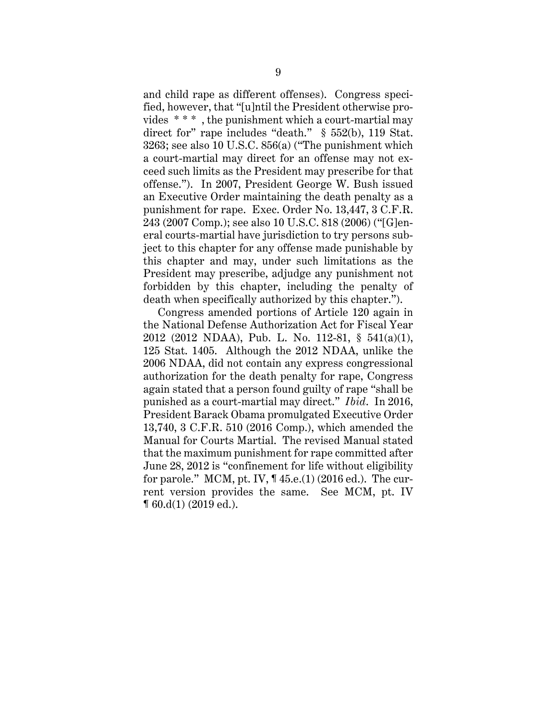and child rape as different offenses). Congress specified, however, that "[u]ntil the President otherwise provides  $***$ , the punishment which a court-martial may direct for" rape includes "death." § 552(b), 119 Stat. 3263; see also 10 U.S.C. 856(a) ("The punishment which a court-martial may direct for an offense may not exceed such limits as the President may prescribe for that offense."). In 2007, President George W. Bush issued an Executive Order maintaining the death penalty as a punishment for rape. Exec. Order No. 13,447, 3 C.F.R. 243 (2007 Comp.); see also 10 U.S.C. 818 (2006) ("[G]eneral courts-martial have jurisdiction to try persons subject to this chapter for any offense made punishable by this chapter and may, under such limitations as the President may prescribe, adjudge any punishment not forbidden by this chapter, including the penalty of death when specifically authorized by this chapter.").

Congress amended portions of Article 120 again in the National Defense Authorization Act for Fiscal Year 2012 (2012 NDAA), Pub. L. No. 112-81, § 541(a)(1), 125 Stat. 1405. Although the 2012 NDAA, unlike the 2006 NDAA, did not contain any express congressional authorization for the death penalty for rape, Congress again stated that a person found guilty of rape "shall be punished as a court-martial may direct." *Ibid*. In 2016, President Barack Obama promulgated Executive Order 13,740, 3 C.F.R. 510 (2016 Comp.), which amended the Manual for Courts Martial. The revised Manual stated that the maximum punishment for rape committed after June 28, 2012 is "confinement for life without eligibility for parole." MCM, pt. IV, ¶ 45.e.(1) (2016 ed.). The current version provides the same. See MCM, pt. IV ¶ 60.d(1) (2019 ed.).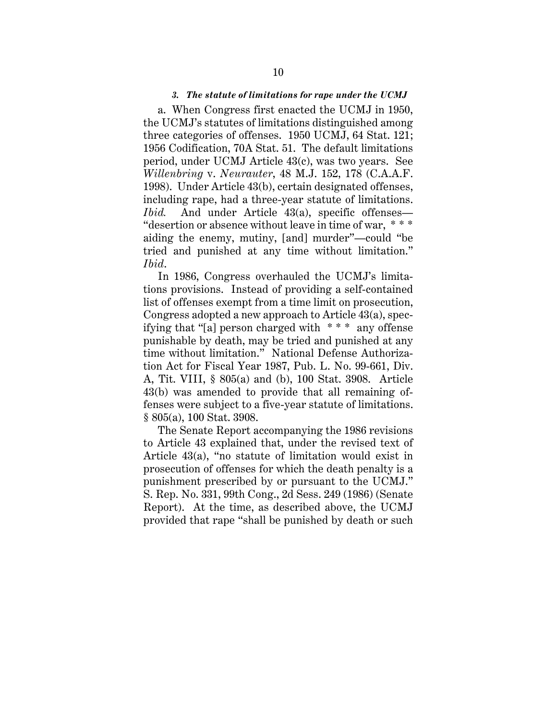#### *3. The statute of limitations for rape under the UCMJ*

a. When Congress first enacted the UCMJ in 1950, the UCMJ's statutes of limitations distinguished among three categories of offenses. 1950 UCMJ, 64 Stat. 121; 1956 Codification, 70A Stat. 51. The default limitations period, under UCMJ Article 43(c), was two years. See *Willenbring* v. *Neurauter*, 48 M.J. 152, 178 (C.A.A.F. 1998). Under Article 43(b), certain designated offenses, including rape, had a three-year statute of limitations. *Ibid.* And under Article 43(a), specific offenses— "desertion or absence without leave in time of war, \* \* \* aiding the enemy, mutiny, [and] murder"—could "be tried and punished at any time without limitation." *Ibid*.

In 1986, Congress overhauled the UCMJ's limitations provisions. Instead of providing a self-contained list of offenses exempt from a time limit on prosecution, Congress adopted a new approach to Article 43(a), specifying that "[a] person charged with \* \* \* any offense punishable by death, may be tried and punished at any time without limitation." National Defense Authorization Act for Fiscal Year 1987, Pub. L. No. 99-661, Div. A, Tit. VIII, § 805(a) and (b), 100 Stat. 3908. Article 43(b) was amended to provide that all remaining offenses were subject to a five-year statute of limitations. § 805(a), 100 Stat. 3908.

The Senate Report accompanying the 1986 revisions to Article 43 explained that, under the revised text of Article 43(a), "no statute of limitation would exist in prosecution of offenses for which the death penalty is a punishment prescribed by or pursuant to the UCMJ." S. Rep. No. 331, 99th Cong., 2d Sess. 249 (1986) (Senate Report). At the time, as described above, the UCMJ provided that rape "shall be punished by death or such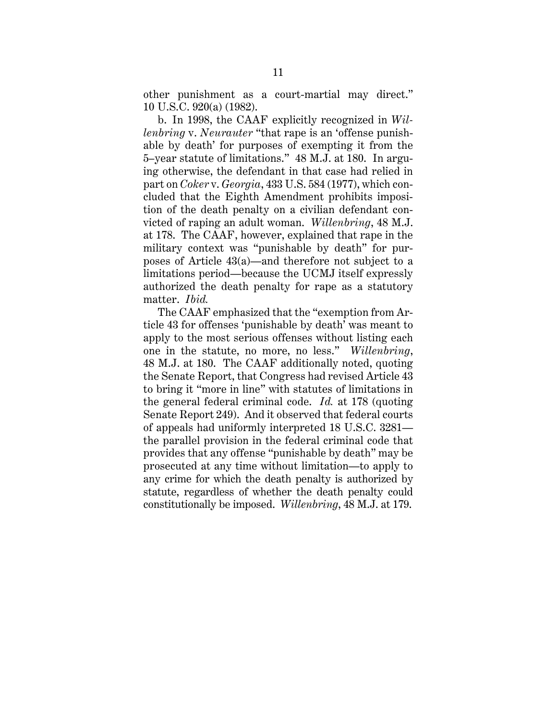other punishment as a court-martial may direct." 10 U.S.C. 920(a) (1982).

b. In 1998, the CAAF explicitly recognized in *Willenbring* v. *Neurauter* "that rape is an 'offense punishable by death' for purposes of exempting it from the 5–year statute of limitations." 48 M.J. at 180. In arguing otherwise, the defendant in that case had relied in part on *Coker* v. *Georgia*, 433 U.S. 584 (1977), which concluded that the Eighth Amendment prohibits imposition of the death penalty on a civilian defendant convicted of raping an adult woman. *Willenbring*, 48 M.J. at 178. The CAAF, however, explained that rape in the military context was "punishable by death" for purposes of Article 43(a)—and therefore not subject to a limitations period—because the UCMJ itself expressly authorized the death penalty for rape as a statutory matter. *Ibid.*

The CAAF emphasized that the "exemption from Article 43 for offenses 'punishable by death' was meant to apply to the most serious offenses without listing each one in the statute, no more, no less." *Willenbring*, 48 M.J. at 180. The CAAF additionally noted, quoting the Senate Report, that Congress had revised Article 43 to bring it "more in line" with statutes of limitations in the general federal criminal code. *Id.* at 178 (quoting Senate Report 249). And it observed that federal courts of appeals had uniformly interpreted 18 U.S.C. 3281 the parallel provision in the federal criminal code that provides that any offense "punishable by death" may be prosecuted at any time without limitation—to apply to any crime for which the death penalty is authorized by statute, regardless of whether the death penalty could constitutionally be imposed. *Willenbring*, 48 M.J. at 179.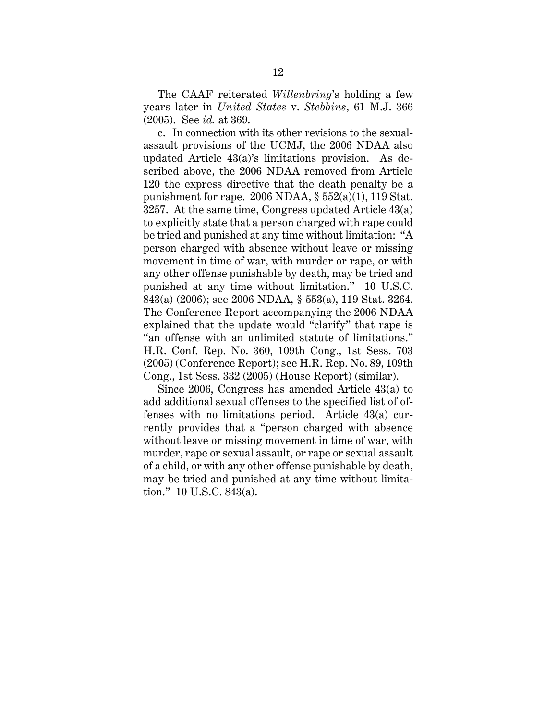The CAAF reiterated *Willenbring*'s holding a few years later in *United States* v. *Stebbins*, 61 M.J. 366 (2005). See *id.* at 369.

c. In connection with its other revisions to the sexualassault provisions of the UCMJ, the 2006 NDAA also updated Article 43(a)'s limitations provision. As described above, the 2006 NDAA removed from Article 120 the express directive that the death penalty be a punishment for rape. 2006 NDAA,  $\S 552(a)(1)$ , 119 Stat. 3257. At the same time, Congress updated Article 43(a) to explicitly state that a person charged with rape could be tried and punished at any time without limitation: "A person charged with absence without leave or missing movement in time of war, with murder or rape, or with any other offense punishable by death, may be tried and punished at any time without limitation." 10 U.S.C. 843(a) (2006); see 2006 NDAA, § 553(a), 119 Stat. 3264. The Conference Report accompanying the 2006 NDAA explained that the update would "clarify" that rape is "an offense with an unlimited statute of limitations." H.R. Conf. Rep. No. 360, 109th Cong., 1st Sess. 703 (2005) (Conference Report); see H.R. Rep. No. 89, 109th Cong., 1st Sess. 332 (2005) (House Report) (similar).

Since 2006, Congress has amended Article 43(a) to add additional sexual offenses to the specified list of offenses with no limitations period. Article 43(a) currently provides that a "person charged with absence without leave or missing movement in time of war, with murder, rape or sexual assault, or rape or sexual assault of a child, or with any other offense punishable by death, may be tried and punished at any time without limitation." 10 U.S.C. 843(a).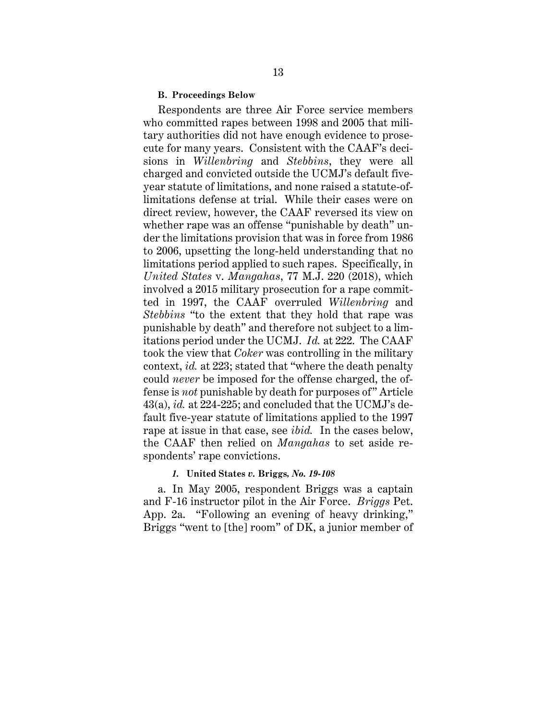#### **B. Proceedings Below**

Respondents are three Air Force service members who committed rapes between 1998 and 2005 that military authorities did not have enough evidence to prosecute for many years. Consistent with the CAAF's decisions in *Willenbring* and *Stebbins*, they were all charged and convicted outside the UCMJ's default fiveyear statute of limitations, and none raised a statute-oflimitations defense at trial. While their cases were on direct review, however, the CAAF reversed its view on whether rape was an offense "punishable by death" under the limitations provision that was in force from 1986 to 2006, upsetting the long-held understanding that no limitations period applied to such rapes. Specifically, in *United States* v. *Mangahas*, 77 M.J. 220 (2018), which involved a 2015 military prosecution for a rape committed in 1997, the CAAF overruled *Willenbring* and *Stebbins* "to the extent that they hold that rape was punishable by death" and therefore not subject to a limitations period under the UCMJ. *Id.* at 222. The CAAF took the view that *Coker* was controlling in the military context, *id.* at 223; stated that "where the death penalty could *never* be imposed for the offense charged, the offense is *not* punishable by death for purposes of" Article 43(a), *id.* at 224-225; and concluded that the UCMJ's default five-year statute of limitations applied to the 1997 rape at issue in that case, see *ibid.* In the cases below, the CAAF then relied on *Mangahas* to set aside respondents' rape convictions.

### *1.* **United States** *v.* **Briggs***, No. 19-108*

a. In May 2005, respondent Briggs was a captain and F-16 instructor pilot in the Air Force. *Briggs* Pet. App. 2a. "Following an evening of heavy drinking," Briggs "went to [the] room" of DK, a junior member of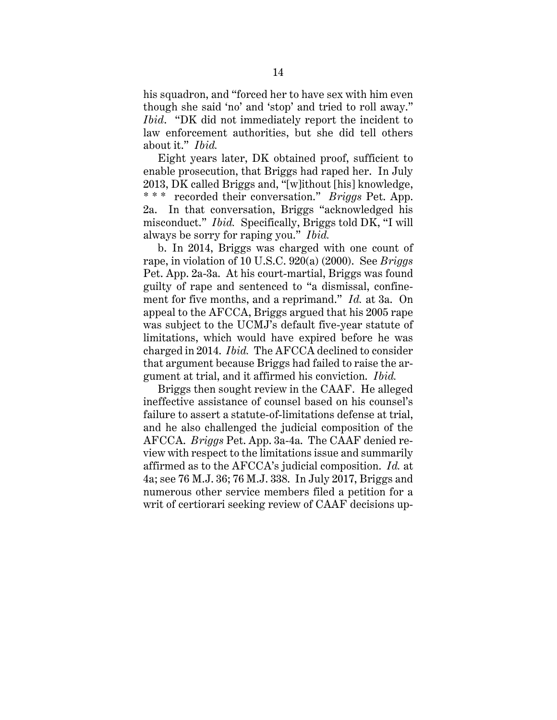his squadron, and "forced her to have sex with him even though she said 'no' and 'stop' and tried to roll away." *Ibid*. "DK did not immediately report the incident to law enforcement authorities, but she did tell others about it." *Ibid.*

Eight years later, DK obtained proof, sufficient to enable prosecution, that Briggs had raped her. In July 2013, DK called Briggs and, "[w]ithout [his] knowledge, \* \* \* recorded their conversation." *Briggs* Pet. App. 2a. In that conversation, Briggs "acknowledged his misconduct." *Ibid.* Specifically, Briggs told DK, "I will always be sorry for raping you." *Ibid.*

b. In 2014, Briggs was charged with one count of rape, in violation of 10 U.S.C. 920(a) (2000). See *Briggs* Pet. App. 2a-3a. At his court-martial, Briggs was found guilty of rape and sentenced to "a dismissal, confinement for five months, and a reprimand." *Id.* at 3a. On appeal to the AFCCA, Briggs argued that his 2005 rape was subject to the UCMJ's default five-year statute of limitations, which would have expired before he was charged in 2014. *Ibid.* The AFCCA declined to consider that argument because Briggs had failed to raise the argument at trial, and it affirmed his conviction. *Ibid.*

Briggs then sought review in the CAAF. He alleged ineffective assistance of counsel based on his counsel's failure to assert a statute-of-limitations defense at trial, and he also challenged the judicial composition of the AFCCA. *Briggs* Pet. App. 3a-4a. The CAAF denied review with respect to the limitations issue and summarily affirmed as to the AFCCA's judicial composition. *Id.* at 4a; see 76 M.J. 36; 76 M.J. 338. In July 2017, Briggs and numerous other service members filed a petition for a writ of certiorari seeking review of CAAF decisions up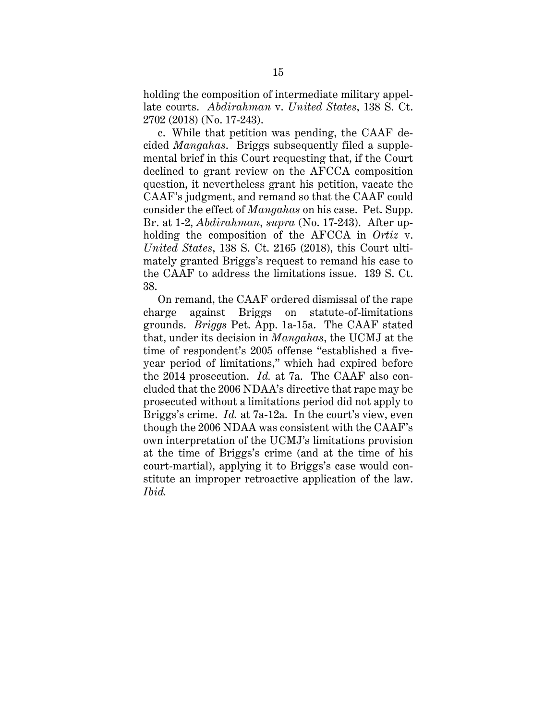holding the composition of intermediate military appellate courts. *Abdirahman* v. *United States*, 138 S. Ct. 2702 (2018) (No. 17-243).

c. While that petition was pending, the CAAF decided *Mangahas*. Briggs subsequently filed a supplemental brief in this Court requesting that, if the Court declined to grant review on the AFCCA composition question, it nevertheless grant his petition, vacate the CAAF's judgment, and remand so that the CAAF could consider the effect of *Mangahas* on his case. Pet. Supp. Br. at 1-2, *Abdirahman*, *supra* (No. 17-243). After upholding the composition of the AFCCA in *Ortiz* v. *United States*, 138 S. Ct. 2165 (2018), this Court ultimately granted Briggs's request to remand his case to the CAAF to address the limitations issue. 139 S. Ct. 38.

On remand, the CAAF ordered dismissal of the rape charge against Briggs on statute-of-limitations grounds. *Briggs* Pet. App. 1a-15a. The CAAF stated that, under its decision in *Mangahas*, the UCMJ at the time of respondent's 2005 offense "established a fiveyear period of limitations," which had expired before the 2014 prosecution. *Id.* at 7a. The CAAF also concluded that the 2006 NDAA's directive that rape may be prosecuted without a limitations period did not apply to Briggs's crime. *Id.* at 7a-12a. In the court's view, even though the 2006 NDAA was consistent with the CAAF's own interpretation of the UCMJ's limitations provision at the time of Briggs's crime (and at the time of his court-martial), applying it to Briggs's case would constitute an improper retroactive application of the law. *Ibid.*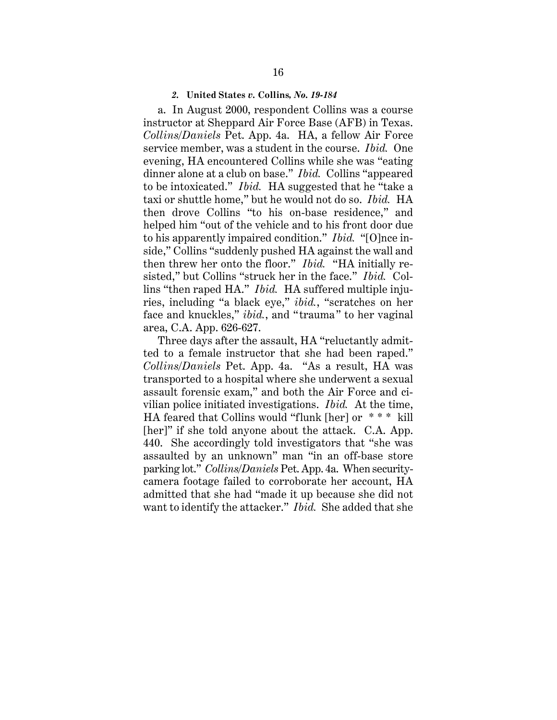#### *2.* **United States** *v.* **Collins***, No. 19-184*

a. In August 2000, respondent Collins was a course instructor at Sheppard Air Force Base (AFB) in Texas. *Collins/Daniels* Pet. App. 4a. HA, a fellow Air Force service member, was a student in the course. *Ibid.* One evening, HA encountered Collins while she was "eating dinner alone at a club on base." *Ibid.* Collins "appeared to be intoxicated." *Ibid.* HA suggested that he "take a taxi or shuttle home," but he would not do so. *Ibid.* HA then drove Collins "to his on-base residence," and helped him "out of the vehicle and to his front door due to his apparently impaired condition." *Ibid.* "[O]nce inside," Collins "suddenly pushed HA against the wall and then threw her onto the floor." *Ibid.* "HA initially resisted," but Collins "struck her in the face." *Ibid.* Collins "then raped HA." *Ibid.* HA suffered multiple injuries, including "a black eye," *ibid.*, "scratches on her face and knuckles," *ibid.*, and "trauma" to her vaginal area, C.A. App. 626-627.

Three days after the assault, HA "reluctantly admitted to a female instructor that she had been raped." *Collins/Daniels* Pet. App. 4a. "As a result, HA was transported to a hospital where she underwent a sexual assault forensic exam," and both the Air Force and civilian police initiated investigations. *Ibid.* At the time, HA feared that Collins would "flunk [her] or \* \* \* kill [her]" if she told anyone about the attack. C.A. App. 440. She accordingly told investigators that "she was assaulted by an unknown" man "in an off-base store parking lot." *Collins/Daniels* Pet. App. 4a. When securitycamera footage failed to corroborate her account, HA admitted that she had "made it up because she did not want to identify the attacker." *Ibid.* She added that she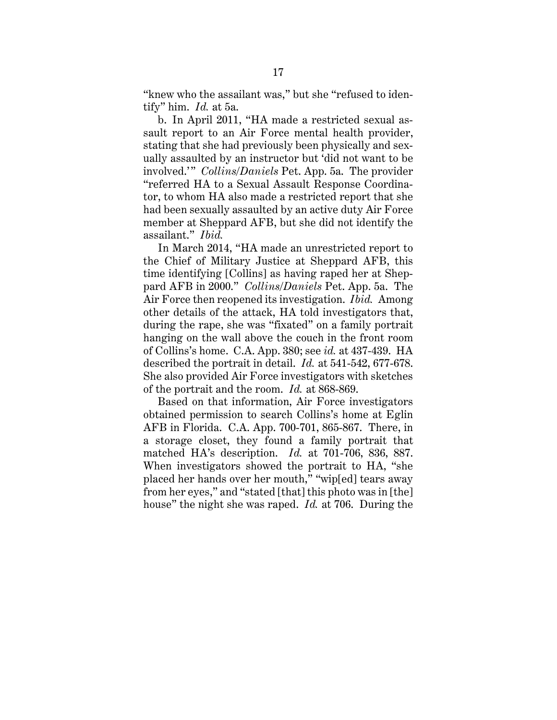"knew who the assailant was," but she "refused to identify" him. *Id.* at 5a.

b. In April 2011, "HA made a restricted sexual assault report to an Air Force mental health provider, stating that she had previously been physically and sexually assaulted by an instructor but 'did not want to be involved.'" *Collins/Daniels* Pet. App. 5a. The provider "referred HA to a Sexual Assault Response Coordinator, to whom HA also made a restricted report that she had been sexually assaulted by an active duty Air Force member at Sheppard AFB, but she did not identify the assailant." *Ibid.*

In March 2014, "HA made an unrestricted report to the Chief of Military Justice at Sheppard AFB, this time identifying [Collins] as having raped her at Sheppard AFB in 2000." *Collins/Daniels* Pet. App. 5a. The Air Force then reopened its investigation. *Ibid.* Among other details of the attack, HA told investigators that, during the rape, she was "fixated" on a family portrait hanging on the wall above the couch in the front room of Collins's home. C.A. App. 380; see *id.* at 437-439. HA described the portrait in detail. *Id.* at 541-542, 677-678. She also provided Air Force investigators with sketches of the portrait and the room. *Id.* at 868-869.

Based on that information, Air Force investigators obtained permission to search Collins's home at Eglin AFB in Florida. C.A. App. 700-701, 865-867. There, in a storage closet, they found a family portrait that matched HA's description. *Id.* at 701-706, 836, 887. When investigators showed the portrait to HA, "she placed her hands over her mouth," "wip[ed] tears away from her eyes," and "stated [that] this photo was in [the] house" the night she was raped. *Id.* at 706. During the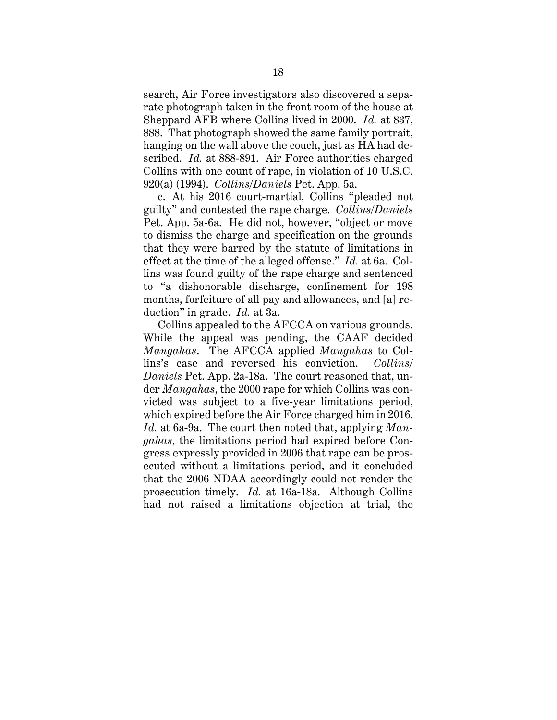search, Air Force investigators also discovered a separate photograph taken in the front room of the house at Sheppard AFB where Collins lived in 2000. *Id.* at 837, 888. That photograph showed the same family portrait, hanging on the wall above the couch, just as HA had described. *Id.* at 888-891. Air Force authorities charged Collins with one count of rape, in violation of 10 U.S.C. 920(a) (1994). *Collins/Daniels* Pet. App. 5a.

c. At his 2016 court-martial, Collins "pleaded not guilty" and contested the rape charge. *Collins/Daniels* Pet. App. 5a-6a. He did not, however, "object or move to dismiss the charge and specification on the grounds that they were barred by the statute of limitations in effect at the time of the alleged offense." *Id.* at 6a. Collins was found guilty of the rape charge and sentenced to "a dishonorable discharge, confinement for 198 months, forfeiture of all pay and allowances, and [a] reduction" in grade. *Id.* at 3a.

Collins appealed to the AFCCA on various grounds. While the appeal was pending, the CAAF decided *Mangahas*. The AFCCA applied *Mangahas* to Collins's case and reversed his conviction. *Collins/ Daniels* Pet. App. 2a-18a. The court reasoned that, under *Mangahas*, the 2000 rape for which Collins was convicted was subject to a five-year limitations period, which expired before the Air Force charged him in 2016. *Id.* at 6a-9a. The court then noted that, applying *Mangahas*, the limitations period had expired before Congress expressly provided in 2006 that rape can be prosecuted without a limitations period, and it concluded that the 2006 NDAA accordingly could not render the prosecution timely. *Id.* at 16a-18a. Although Collins had not raised a limitations objection at trial, the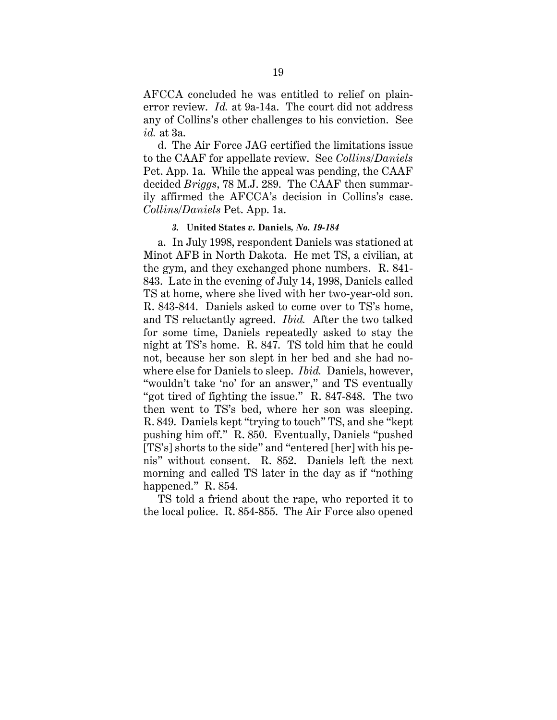AFCCA concluded he was entitled to relief on plainerror review. *Id.* at 9a-14a. The court did not address any of Collins's other challenges to his conviction. See *id.* at 3a.

d. The Air Force JAG certified the limitations issue to the CAAF for appellate review. See *Collins/Daniels* Pet. App. 1a. While the appeal was pending, the CAAF decided *Briggs*, 78 M.J. 289. The CAAF then summarily affirmed the AFCCA's decision in Collins's case. *Collins/Daniels* Pet. App. 1a.

### *3.* **United States** *v.* **Daniels***, No. 19-184*

a. In July 1998, respondent Daniels was stationed at Minot AFB in North Dakota. He met TS, a civilian, at the gym, and they exchanged phone numbers. R. 841- 843. Late in the evening of July 14, 1998, Daniels called TS at home, where she lived with her two-year-old son. R. 843-844. Daniels asked to come over to TS's home, and TS reluctantly agreed. *Ibid.* After the two talked for some time, Daniels repeatedly asked to stay the night at TS's home. R. 847. TS told him that he could not, because her son slept in her bed and she had nowhere else for Daniels to sleep. *Ibid.* Daniels, however, "wouldn't take 'no' for an answer," and TS eventually "got tired of fighting the issue." R. 847-848. The two then went to TS's bed, where her son was sleeping. R. 849. Daniels kept "trying to touch" TS, and she "kept pushing him off." R. 850. Eventually, Daniels "pushed [TS's] shorts to the side" and "entered [her] with his penis" without consent. R. 852. Daniels left the next morning and called TS later in the day as if "nothing happened." R. 854.

TS told a friend about the rape, who reported it to the local police. R. 854-855. The Air Force also opened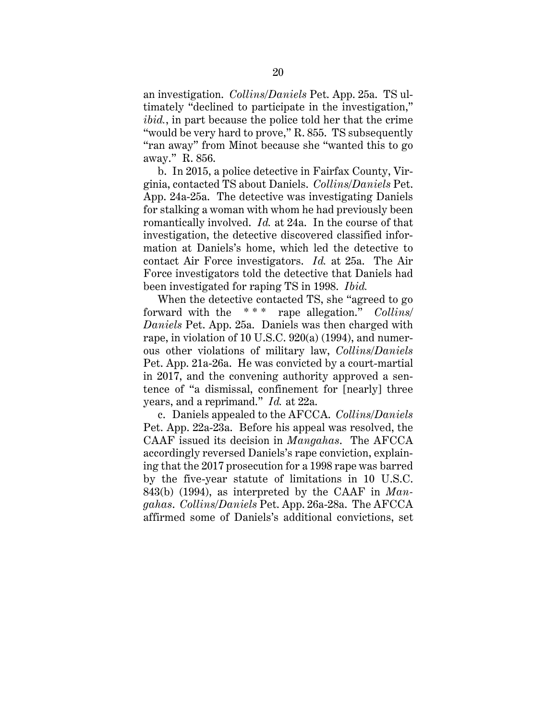an investigation. *Collins/Daniels* Pet. App. 25a. TS ultimately "declined to participate in the investigation," *ibid.*, in part because the police told her that the crime "would be very hard to prove," R. 855. TS subsequently "ran away" from Minot because she "wanted this to go away." R. 856.

b. In 2015, a police detective in Fairfax County, Virginia, contacted TS about Daniels. *Collins/Daniels* Pet. App. 24a-25a. The detective was investigating Daniels for stalking a woman with whom he had previously been romantically involved. *Id.* at 24a. In the course of that investigation, the detective discovered classified information at Daniels's home, which led the detective to contact Air Force investigators. *Id.* at 25a. The Air Force investigators told the detective that Daniels had been investigated for raping TS in 1998. *Ibid.*

When the detective contacted TS, she "agreed to go forward with the \* \* \* rape allegation." *Collins/ Daniels* Pet. App. 25a. Daniels was then charged with rape, in violation of 10 U.S.C. 920(a) (1994), and numerous other violations of military law, *Collins/Daniels* Pet. App. 21a-26a. He was convicted by a court-martial in 2017, and the convening authority approved a sentence of "a dismissal, confinement for [nearly] three years, and a reprimand." *Id.* at 22a.

c. Daniels appealed to the AFCCA. *Collins/Daniels* Pet. App. 22a-23a. Before his appeal was resolved, the CAAF issued its decision in *Mangahas*. The AFCCA accordingly reversed Daniels's rape conviction, explaining that the 2017 prosecution for a 1998 rape was barred by the five-year statute of limitations in 10 U.S.C. 843(b) (1994), as interpreted by the CAAF in *Mangahas*. *Collins/Daniels* Pet. App. 26a-28a. The AFCCA affirmed some of Daniels's additional convictions, set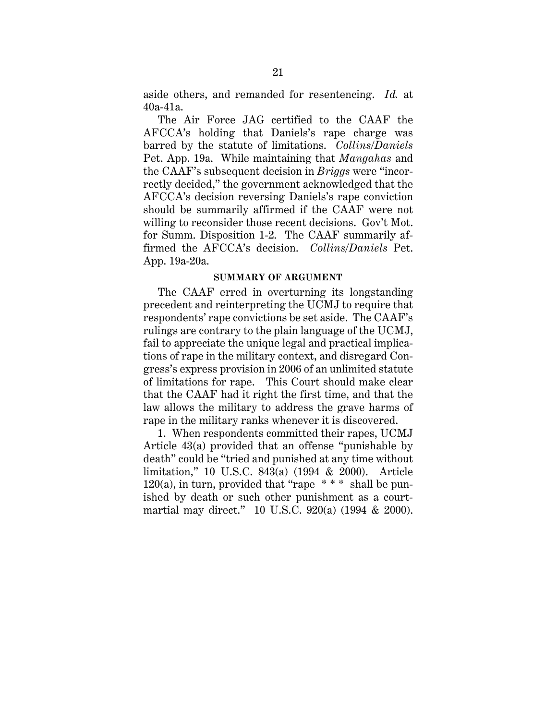aside others, and remanded for resentencing. *Id.* at 40a-41a.

The Air Force JAG certified to the CAAF the AFCCA's holding that Daniels's rape charge was barred by the statute of limitations. *Collins/Daniels* Pet. App. 19a. While maintaining that *Mangahas* and the CAAF's subsequent decision in *Briggs* were "incorrectly decided," the government acknowledged that the AFCCA's decision reversing Daniels's rape conviction should be summarily affirmed if the CAAF were not willing to reconsider those recent decisions. Gov't Mot. for Summ. Disposition 1-2. The CAAF summarily affirmed the AFCCA's decision. *Collins/Daniels* Pet. App. 19a-20a.

#### **SUMMARY OF ARGUMENT**

The CAAF erred in overturning its longstanding precedent and reinterpreting the UCMJ to require that respondents' rape convictions be set aside. The CAAF's rulings are contrary to the plain language of the UCMJ, fail to appreciate the unique legal and practical implications of rape in the military context, and disregard Congress's express provision in 2006 of an unlimited statute of limitations for rape. This Court should make clear that the CAAF had it right the first time, and that the law allows the military to address the grave harms of rape in the military ranks whenever it is discovered.

1. When respondents committed their rapes, UCMJ Article 43(a) provided that an offense "punishable by death" could be "tried and punished at any time without limitation," 10 U.S.C. 843(a) (1994 & 2000). Article 120(a), in turn, provided that "rape  $***$  shall be punished by death or such other punishment as a courtmartial may direct." 10 U.S.C. 920(a) (1994 & 2000).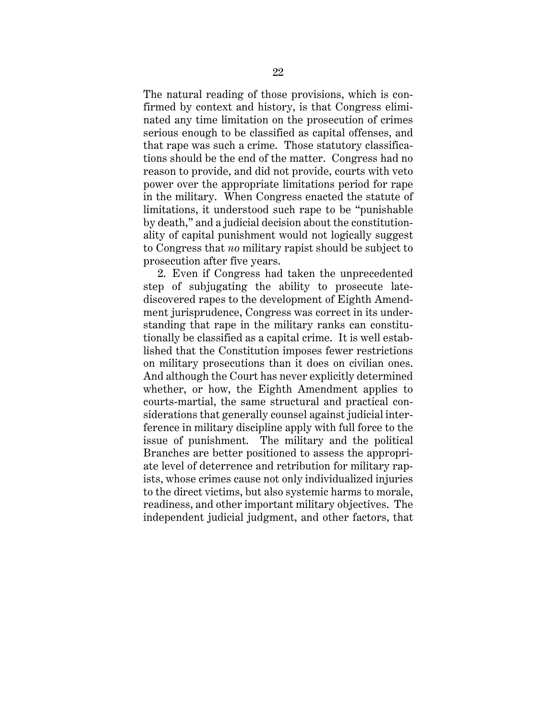The natural reading of those provisions, which is confirmed by context and history, is that Congress eliminated any time limitation on the prosecution of crimes serious enough to be classified as capital offenses, and that rape was such a crime. Those statutory classifications should be the end of the matter. Congress had no reason to provide, and did not provide, courts with veto power over the appropriate limitations period for rape in the military. When Congress enacted the statute of limitations, it understood such rape to be "punishable by death," and a judicial decision about the constitutionality of capital punishment would not logically suggest to Congress that *no* military rapist should be subject to prosecution after five years.

2. Even if Congress had taken the unprecedented step of subjugating the ability to prosecute latediscovered rapes to the development of Eighth Amendment jurisprudence, Congress was correct in its understanding that rape in the military ranks can constitutionally be classified as a capital crime. It is well established that the Constitution imposes fewer restrictions on military prosecutions than it does on civilian ones. And although the Court has never explicitly determined whether, or how, the Eighth Amendment applies to courts-martial, the same structural and practical considerations that generally counsel against judicial interference in military discipline apply with full force to the issue of punishment. The military and the political Branches are better positioned to assess the appropriate level of deterrence and retribution for military rapists, whose crimes cause not only individualized injuries to the direct victims, but also systemic harms to morale, readiness, and other important military objectives. The independent judicial judgment, and other factors, that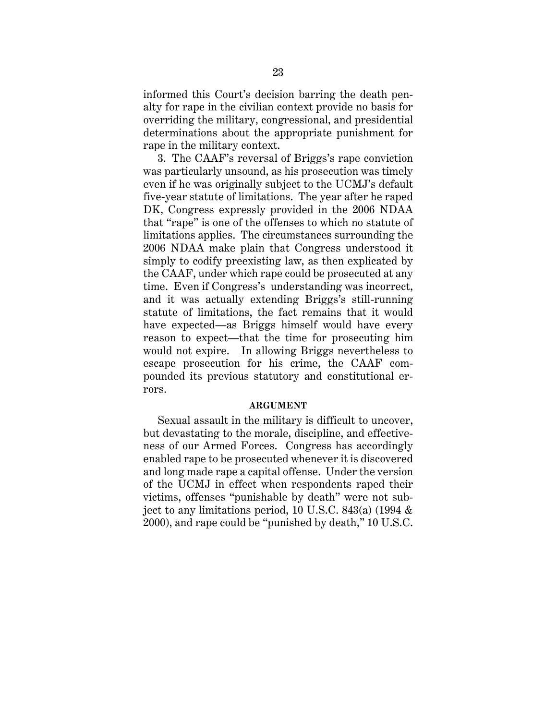informed this Court's decision barring the death penalty for rape in the civilian context provide no basis for overriding the military, congressional, and presidential determinations about the appropriate punishment for rape in the military context.

3. The CAAF's reversal of Briggs's rape conviction was particularly unsound, as his prosecution was timely even if he was originally subject to the UCMJ's default five-year statute of limitations. The year after he raped DK, Congress expressly provided in the 2006 NDAA that "rape" is one of the offenses to which no statute of limitations applies. The circumstances surrounding the 2006 NDAA make plain that Congress understood it simply to codify preexisting law, as then explicated by the CAAF, under which rape could be prosecuted at any time. Even if Congress's understanding was incorrect, and it was actually extending Briggs's still-running statute of limitations, the fact remains that it would have expected—as Briggs himself would have every reason to expect—that the time for prosecuting him would not expire. In allowing Briggs nevertheless to escape prosecution for his crime, the CAAF compounded its previous statutory and constitutional errors.

### **ARGUMENT**

Sexual assault in the military is difficult to uncover, but devastating to the morale, discipline, and effectiveness of our Armed Forces. Congress has accordingly enabled rape to be prosecuted whenever it is discovered and long made rape a capital offense. Under the version of the UCMJ in effect when respondents raped their victims, offenses "punishable by death" were not subject to any limitations period, 10 U.S.C. 843(a) (1994 & 2000), and rape could be "punished by death," 10 U.S.C.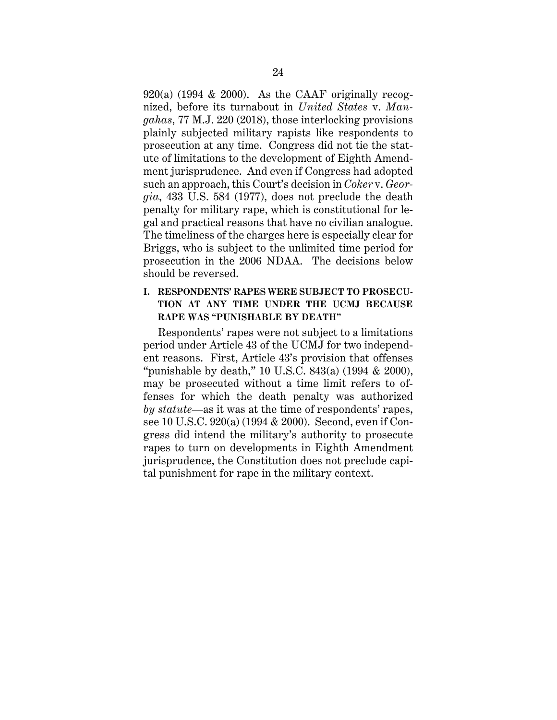$920(a)$  (1994 & 2000). As the CAAF originally recognized, before its turnabout in *United States* v. *Mangahas*, 77 M.J. 220 (2018), those interlocking provisions plainly subjected military rapists like respondents to prosecution at any time. Congress did not tie the statute of limitations to the development of Eighth Amendment jurisprudence. And even if Congress had adopted such an approach, this Court's decision in *Coker* v. *Georgia*, 433 U.S. 584 (1977), does not preclude the death penalty for military rape, which is constitutional for legal and practical reasons that have no civilian analogue. The timeliness of the charges here is especially clear for Briggs, who is subject to the unlimited time period for prosecution in the 2006 NDAA. The decisions below should be reversed.

# **I. RESPONDENTS' RAPES WERE SUBJECT TO PROSECU-TION AT ANY TIME UNDER THE UCMJ BECAUSE RAPE WAS "PUNISHABLE BY DEATH"**

Respondents' rapes were not subject to a limitations period under Article 43 of the UCMJ for two independent reasons. First, Article 43's provision that offenses "punishable by death," 10 U.S.C. 843(a) (1994 & 2000), may be prosecuted without a time limit refers to offenses for which the death penalty was authorized *by statute*—as it was at the time of respondents' rapes, see 10 U.S.C. 920(a) (1994 & 2000). Second, even if Congress did intend the military's authority to prosecute rapes to turn on developments in Eighth Amendment jurisprudence, the Constitution does not preclude capital punishment for rape in the military context.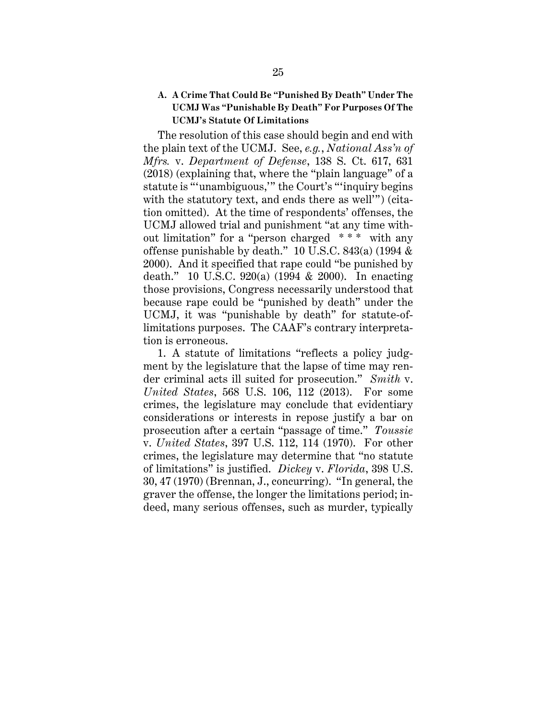# **A. A Crime That Could Be "Punished By Death" Under The UCMJ Was "Punishable By Death" For Purposes Of The UCMJ's Statute Of Limitations**

The resolution of this case should begin and end with the plain text of the UCMJ. See, *e.g.*, *National Ass'n of Mfrs.* v. *Department of Defense*, 138 S. Ct. 617, 631 (2018) (explaining that, where the "plain language" of a statute is "'unambiguous,'" the Court's "'inquiry begins with the statutory text, and ends there as well'") (citation omitted). At the time of respondents' offenses, the UCMJ allowed trial and punishment "at any time without limitation" for a "person charged \* \* \* with any offense punishable by death." 10 U.S.C. 843(a) (1994 & 2000). And it specified that rape could "be punished by death." 10 U.S.C. 920(a) (1994 & 2000). In enacting those provisions, Congress necessarily understood that because rape could be "punished by death" under the UCMJ, it was "punishable by death" for statute-oflimitations purposes. The CAAF's contrary interpretation is erroneous.

1. A statute of limitations "reflects a policy judgment by the legislature that the lapse of time may render criminal acts ill suited for prosecution." *Smith* v. *United States*, 568 U.S. 106, 112 (2013). For some crimes, the legislature may conclude that evidentiary considerations or interests in repose justify a bar on prosecution after a certain "passage of time." *Toussie* v. *United States*, 397 U.S. 112, 114 (1970). For other crimes, the legislature may determine that "no statute of limitations" is justified. *Dickey* v. *Florida*, 398 U.S. 30, 47 (1970) (Brennan, J., concurring). "In general, the graver the offense, the longer the limitations period; indeed, many serious offenses, such as murder, typically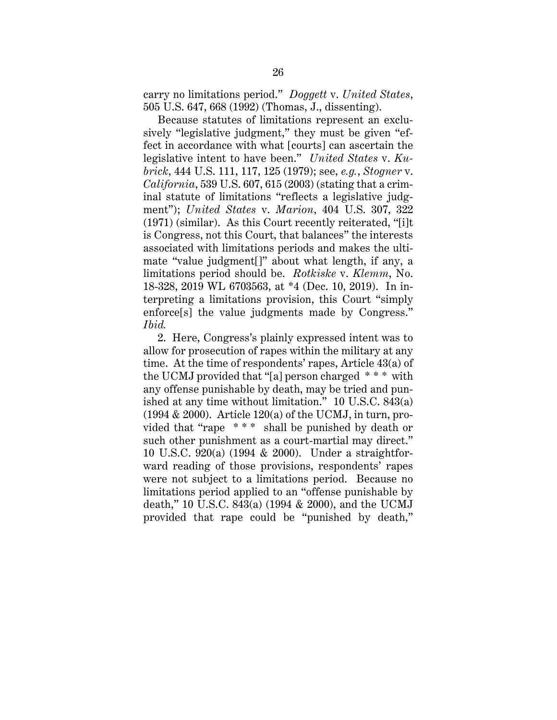carry no limitations period." *Doggett* v. *United States*, 505 U.S. 647, 668 (1992) (Thomas, J., dissenting).

Because statutes of limitations represent an exclusively "legislative judgment," they must be given "effect in accordance with what [courts] can ascertain the legislative intent to have been." *United States* v. *Kubrick*, 444 U.S. 111, 117, 125 (1979); see, *e.g.*, *Stogner* v. *California*, 539 U.S. 607, 615 (2003) (stating that a criminal statute of limitations "reflects a legislative judgment"); *United States* v. *Marion*, 404 U.S. 307, 322 (1971) (similar). As this Court recently reiterated, "[i]t is Congress, not this Court, that balances" the interests associated with limitations periods and makes the ultimate "value judgment[]" about what length, if any, a limitations period should be. *Rotkiske* v. *Klemm*, No. 18-328, 2019 WL 6703563, at \*4 (Dec. 10, 2019). In interpreting a limitations provision, this Court "simply enforce<sup>[s]</sup> the value judgments made by Congress." *Ibid.*

2. Here, Congress's plainly expressed intent was to allow for prosecution of rapes within the military at any time. At the time of respondents' rapes, Article 43(a) of the UCMJ provided that "[a] person charged \* \* \* with any offense punishable by death, may be tried and punished at any time without limitation." 10 U.S.C. 843(a)  $(1994 \& 2000)$ . Article  $120(a)$  of the UCMJ, in turn, provided that "rape  $***$  shall be punished by death or such other punishment as a court-martial may direct." 10 U.S.C. 920(a) (1994 & 2000). Under a straightforward reading of those provisions, respondents' rapes were not subject to a limitations period. Because no limitations period applied to an "offense punishable by death," 10 U.S.C. 843(a) (1994 & 2000), and the UCMJ provided that rape could be "punished by death,"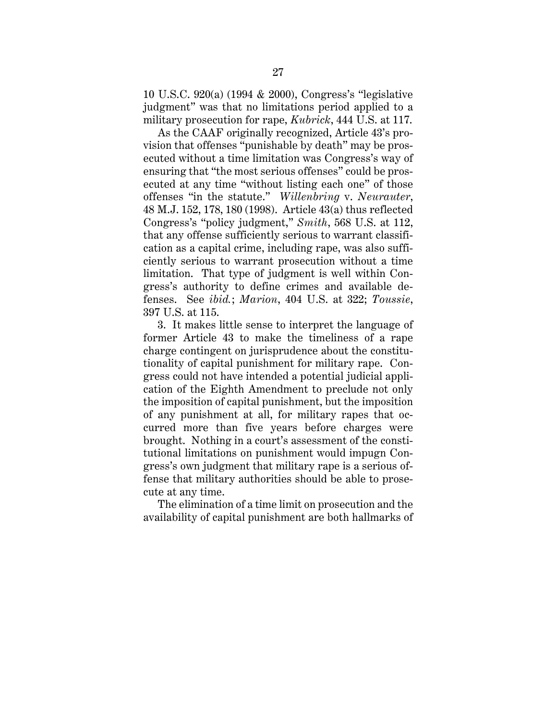10 U.S.C. 920(a) (1994 & 2000), Congress's "legislative judgment" was that no limitations period applied to a military prosecution for rape, *Kubrick*, 444 U.S. at 117.

As the CAAF originally recognized, Article 43's provision that offenses "punishable by death" may be prosecuted without a time limitation was Congress's way of ensuring that "the most serious offenses" could be prosecuted at any time "without listing each one" of those offenses "in the statute." *Willenbring* v. *Neurauter*, 48 M.J. 152, 178, 180 (1998). Article 43(a) thus reflected Congress's "policy judgment," *Smith*, 568 U.S. at 112, that any offense sufficiently serious to warrant classification as a capital crime, including rape, was also sufficiently serious to warrant prosecution without a time limitation. That type of judgment is well within Congress's authority to define crimes and available defenses. See *ibid.*; *Marion*, 404 U.S. at 322; *Toussie*, 397 U.S. at 115.

3. It makes little sense to interpret the language of former Article 43 to make the timeliness of a rape charge contingent on jurisprudence about the constitutionality of capital punishment for military rape. Congress could not have intended a potential judicial application of the Eighth Amendment to preclude not only the imposition of capital punishment, but the imposition of any punishment at all, for military rapes that occurred more than five years before charges were brought. Nothing in a court's assessment of the constitutional limitations on punishment would impugn Congress's own judgment that military rape is a serious offense that military authorities should be able to prosecute at any time.

The elimination of a time limit on prosecution and the availability of capital punishment are both hallmarks of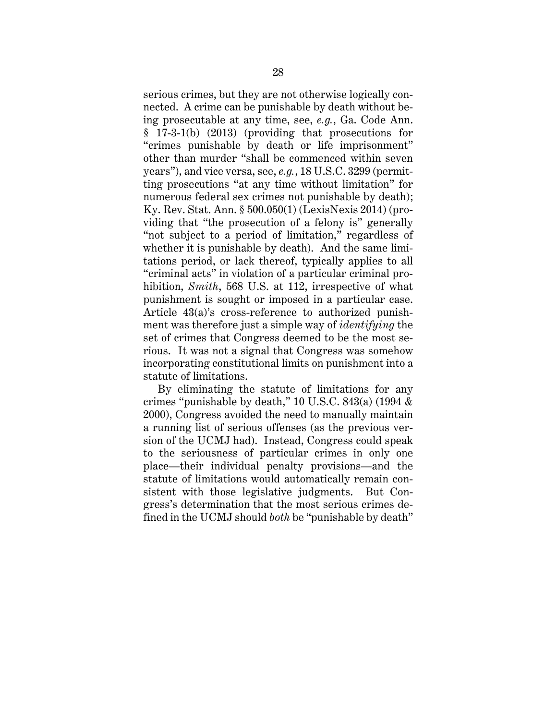serious crimes, but they are not otherwise logically connected. A crime can be punishable by death without being prosecutable at any time, see, *e.g.*, Ga. Code Ann. § 17-3-1(b) (2013) (providing that prosecutions for "crimes punishable by death or life imprisonment" other than murder "shall be commenced within seven years"), and vice versa, see, *e.g.*, 18 U.S.C. 3299 (permitting prosecutions "at any time without limitation" for numerous federal sex crimes not punishable by death); Ky. Rev. Stat. Ann. § 500.050(1) (LexisNexis 2014) (providing that "the prosecution of a felony is" generally "not subject to a period of limitation," regardless of whether it is punishable by death).And the same limitations period, or lack thereof, typically applies to all "criminal acts" in violation of a particular criminal prohibition, *Smith*, 568 U.S. at 112, irrespective of what punishment is sought or imposed in a particular case. Article 43(a)'s cross-reference to authorized punishment was therefore just a simple way of *identifying* the set of crimes that Congress deemed to be the most serious. It was not a signal that Congress was somehow incorporating constitutional limits on punishment into a statute of limitations.

By eliminating the statute of limitations for any crimes "punishable by death," 10 U.S.C. 843(a) (1994 & 2000), Congress avoided the need to manually maintain a running list of serious offenses (as the previous version of the UCMJ had). Instead, Congress could speak to the seriousness of particular crimes in only one place—their individual penalty provisions—and the statute of limitations would automatically remain consistent with those legislative judgments. But Congress's determination that the most serious crimes defined in the UCMJ should *both* be "punishable by death"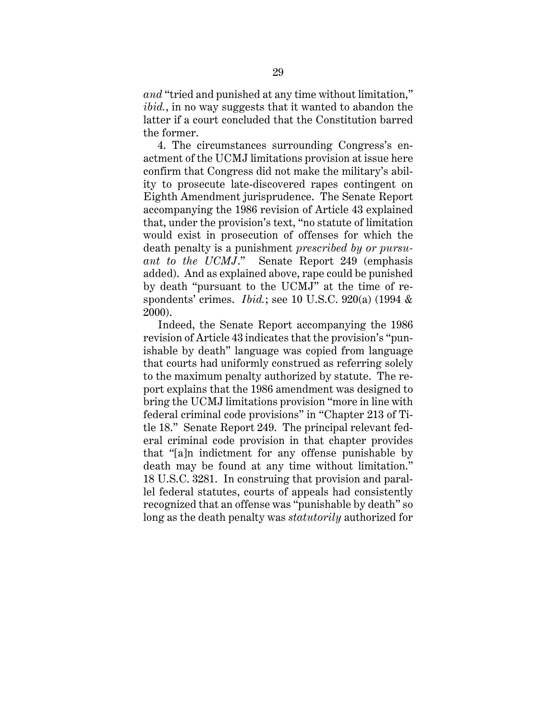*and* "tried and punished at any time without limitation," *ibid.*, in no way suggests that it wanted to abandon the latter if a court concluded that the Constitution barred the former.

4. The circumstances surrounding Congress's enactment of the UCMJ limitations provision at issue here confirm that Congress did not make the military's ability to prosecute late-discovered rapes contingent on Eighth Amendment jurisprudence. The Senate Report accompanying the 1986 revision of Article 43 explained that, under the provision's text, "no statute of limitation would exist in prosecution of offenses for which the death penalty is a punishment *prescribed by or pursuant to the UCMJ*." Senate Report 249 (emphasis added). And as explained above, rape could be punished by death "pursuant to the UCMJ" at the time of respondents' crimes. *Ibid.*; see 10 U.S.C. 920(a) (1994 & 2000).

Indeed, the Senate Report accompanying the 1986 revision of Article 43 indicates that the provision's "punishable by death" language was copied from language that courts had uniformly construed as referring solely to the maximum penalty authorized by statute. The report explains that the 1986 amendment was designed to bring the UCMJ limitations provision "more in line with federal criminal code provisions" in "Chapter 213 of Title 18." Senate Report 249. The principal relevant federal criminal code provision in that chapter provides that "[a]n indictment for any offense punishable by death may be found at any time without limitation." 18 U.S.C. 3281. In construing that provision and parallel federal statutes, courts of appeals had consistently recognized that an offense was "punishable by death" so long as the death penalty was *statutorily* authorized for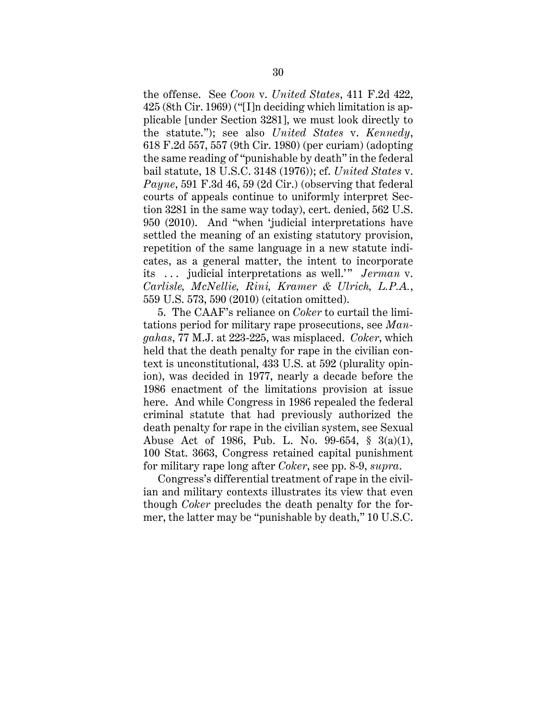the offense. See *Coon* v. *United States*, 411 F.2d 422, 425 (8th Cir. 1969) ("[I]n deciding which limitation is applicable [under Section 3281], we must look directly to the statute."); see also *United States* v. *Kennedy*, 618 F.2d 557, 557 (9th Cir. 1980) (per curiam) (adopting the same reading of "punishable by death" in the federal bail statute, 18 U.S.C. 3148 (1976)); cf. *United States* v. *Payne*, 591 F.3d 46, 59 (2d Cir.) (observing that federal courts of appeals continue to uniformly interpret Section 3281 in the same way today), cert. denied, 562 U.S. 950 (2010). And "when 'judicial interpretations have settled the meaning of an existing statutory provision, repetition of the same language in a new statute indicates, as a general matter, the intent to incorporate its ... judicial interpretations as well.'" *Jerman* v. *Carlisle, McNellie, Rini, Kramer & Ulrich, L.P.A.*, 559 U.S. 573, 590 (2010) (citation omitted).

5. The CAAF's reliance on *Coker* to curtail the limitations period for military rape prosecutions, see *Mangahas*, 77 M.J. at 223-225, was misplaced. *Coker*, which held that the death penalty for rape in the civilian context is unconstitutional, 433 U.S. at 592 (plurality opinion), was decided in 1977, nearly a decade before the 1986 enactment of the limitations provision at issue here. And while Congress in 1986 repealed the federal criminal statute that had previously authorized the death penalty for rape in the civilian system, see Sexual Abuse Act of 1986, Pub. L. No. 99-654, § 3(a)(1), 100 Stat. 3663, Congress retained capital punishment for military rape long after *Coker*, see pp. 8-9, *supra*.

Congress's differential treatment of rape in the civilian and military contexts illustrates its view that even though *Coker* precludes the death penalty for the former, the latter may be "punishable by death," 10 U.S.C.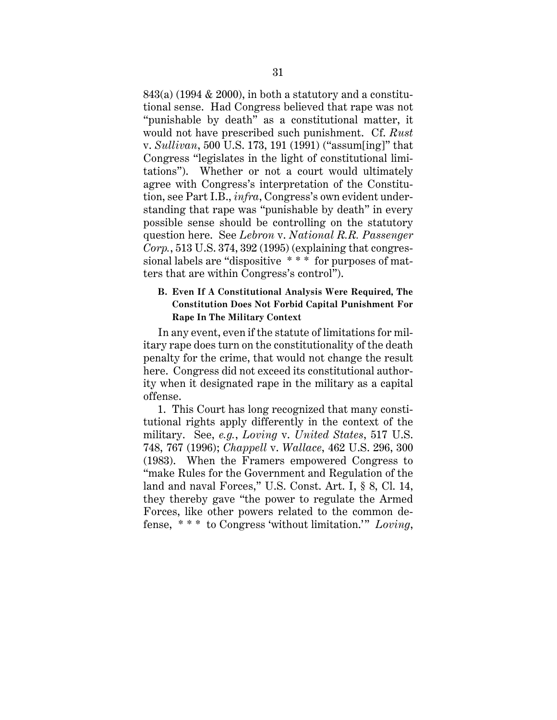843(a) (1994 & 2000), in both a statutory and a constitutional sense. Had Congress believed that rape was not "punishable by death" as a constitutional matter, it would not have prescribed such punishment. Cf. *Rust* v. *Sullivan*, 500 U.S. 173, 191 (1991) ("assum[ing]" that Congress "legislates in the light of constitutional limitations"). Whether or not a court would ultimately agree with Congress's interpretation of the Constitution, see Part I.B., *infra*, Congress's own evident understanding that rape was "punishable by death" in every possible sense should be controlling on the statutory question here. See *Lebron* v. *National R.R. Passenger Corp.*, 513 U.S. 374, 392 (1995) (explaining that congressional labels are "dispositive \* \* \* for purposes of matters that are within Congress's control").

# **B. Even If A Constitutional Analysis Were Required, The Constitution Does Not Forbid Capital Punishment For Rape In The Military Context**

In any event, even if the statute of limitations for military rape does turn on the constitutionality of the death penalty for the crime, that would not change the result here. Congress did not exceed its constitutional authority when it designated rape in the military as a capital offense.

1. This Court has long recognized that many constitutional rights apply differently in the context of the military. See, *e.g.*, *Loving* v. *United States*, 517 U.S. 748, 767 (1996); *Chappell* v. *Wallace*, 462 U.S. 296, 300 (1983). When the Framers empowered Congress to "make Rules for the Government and Regulation of the land and naval Forces," U.S. Const. Art. I, § 8, Cl. 14, they thereby gave "the power to regulate the Armed Forces, like other powers related to the common defense, \* \* \* to Congress 'without limitation.'" *Loving*,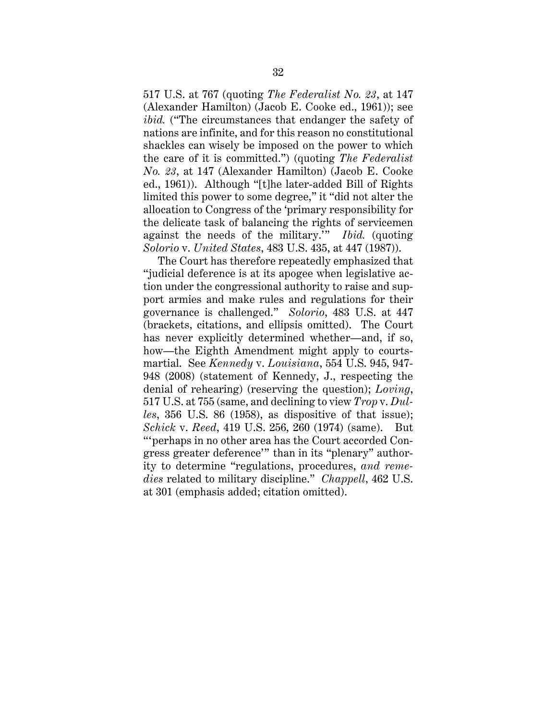517 U.S. at 767 (quoting *The Federalist No. 23*, at 147 (Alexander Hamilton) (Jacob E. Cooke ed., 1961)); see *ibid.* ("The circumstances that endanger the safety of nations are infinite, and for this reason no constitutional shackles can wisely be imposed on the power to which the care of it is committed.") (quoting *The Federalist No. 23*, at 147 (Alexander Hamilton) (Jacob E. Cooke ed., 1961)). Although "[t]he later-added Bill of Rights limited this power to some degree," it "did not alter the allocation to Congress of the 'primary responsibility for the delicate task of balancing the rights of servicemen against the needs of the military.'" *Ibid.* (quoting *Solorio* v. *United States*, 483 U.S. 435, at 447 (1987)).

The Court has therefore repeatedly emphasized that "judicial deference is at its apogee when legislative action under the congressional authority to raise and support armies and make rules and regulations for their governance is challenged." *Solorio*, 483 U.S. at 447 (brackets, citations, and ellipsis omitted). The Court has never explicitly determined whether—and, if so, how—the Eighth Amendment might apply to courtsmartial. See *Kennedy* v. *Louisiana*, 554 U.S. 945, 947- 948 (2008) (statement of Kennedy, J., respecting the denial of rehearing) (reserving the question); *Loving*, 517 U.S. at 755 (same, and declining to view *Trop* v. *Dulles*, 356 U.S. 86 (1958), as dispositive of that issue); *Schick* v. *Reed*, 419 U.S. 256, 260 (1974) (same). But "'perhaps in no other area has the Court accorded Congress greater deference'" than in its "plenary" authority to determine "regulations, procedures, *and remedies* related to military discipline." *Chappell*, 462 U.S. at 301 (emphasis added; citation omitted).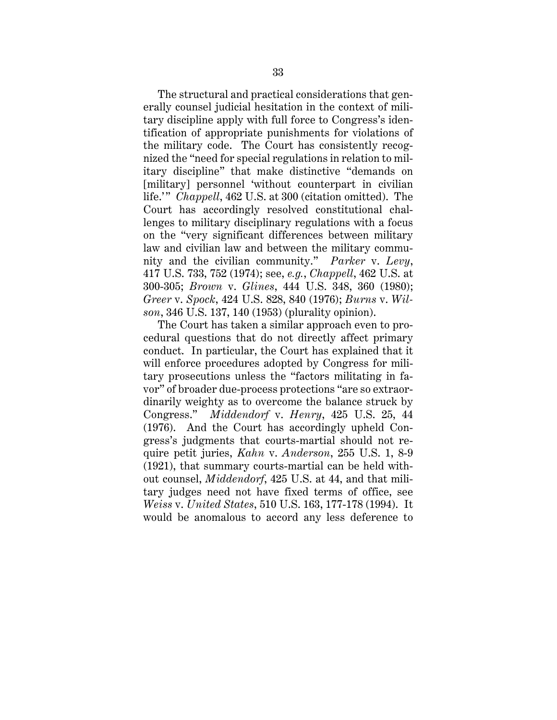The structural and practical considerations that generally counsel judicial hesitation in the context of military discipline apply with full force to Congress's identification of appropriate punishments for violations of the military code. The Court has consistently recognized the "need for special regulations in relation to military discipline" that make distinctive "demands on [military] personnel 'without counterpart in civilian life.'" *Chappell*, 462 U.S. at 300 (citation omitted). The Court has accordingly resolved constitutional challenges to military disciplinary regulations with a focus on the "very significant differences between military law and civilian law and between the military community and the civilian community." *Parker* v. *Levy*, 417 U.S. 733, 752 (1974); see, *e.g.*, *Chappell*, 462 U.S. at 300-305; *Brown* v. *Glines*, 444 U.S. 348, 360 (1980); *Greer* v. *Spock*, 424 U.S. 828, 840 (1976); *Burns* v. *Wilson*, 346 U.S. 137, 140 (1953) (plurality opinion).

The Court has taken a similar approach even to procedural questions that do not directly affect primary conduct. In particular, the Court has explained that it will enforce procedures adopted by Congress for military prosecutions unless the "factors militating in favor" of broader due-process protections "are so extraordinarily weighty as to overcome the balance struck by Congress." *Middendorf* v. *Henry*, 425 U.S. 25, 44 (1976). And the Court has accordingly upheld Congress's judgments that courts-martial should not require petit juries, *Kahn* v. *Anderson*, 255 U.S. 1, 8-9 (1921), that summary courts-martial can be held without counsel, *Middendorf*, 425 U.S. at 44, and that military judges need not have fixed terms of office, see *Weiss* v. *United States*, 510 U.S. 163, 177-178 (1994). It would be anomalous to accord any less deference to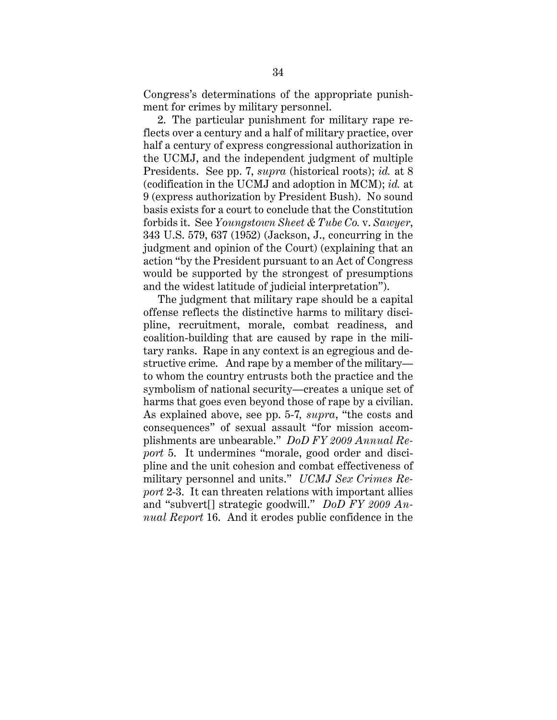Congress's determinations of the appropriate punishment for crimes by military personnel.

2. The particular punishment for military rape reflects over a century and a half of military practice, over half a century of express congressional authorization in the UCMJ, and the independent judgment of multiple Presidents. See pp. 7, *supra* (historical roots); *id.* at 8 (codification in the UCMJ and adoption in MCM); *id.* at 9 (express authorization by President Bush). No sound basis exists for a court to conclude that the Constitution forbids it. See *Youngstown Sheet & Tube Co.* v. *Sawyer*, 343 U.S. 579, 637 (1952) (Jackson, J., concurring in the judgment and opinion of the Court) (explaining that an action "by the President pursuant to an Act of Congress would be supported by the strongest of presumptions and the widest latitude of judicial interpretation").

The judgment that military rape should be a capital offense reflects the distinctive harms to military discipline, recruitment, morale, combat readiness, and coalition-building that are caused by rape in the military ranks. Rape in any context is an egregious and destructive crime. And rape by a member of the military to whom the country entrusts both the practice and the symbolism of national security—creates a unique set of harms that goes even beyond those of rape by a civilian. As explained above, see pp. 5-7*, supra*, "the costs and consequences" of sexual assault "for mission accomplishments are unbearable." *DoD FY 2009 Annual Report* 5. It undermines "morale, good order and discipline and the unit cohesion and combat effectiveness of military personnel and units." *UCMJ Sex Crimes Report* 2-3. It can threaten relations with important allies and "subvert[] strategic goodwill." *DoD FY 2009 Annual Report* 16. And it erodes public confidence in the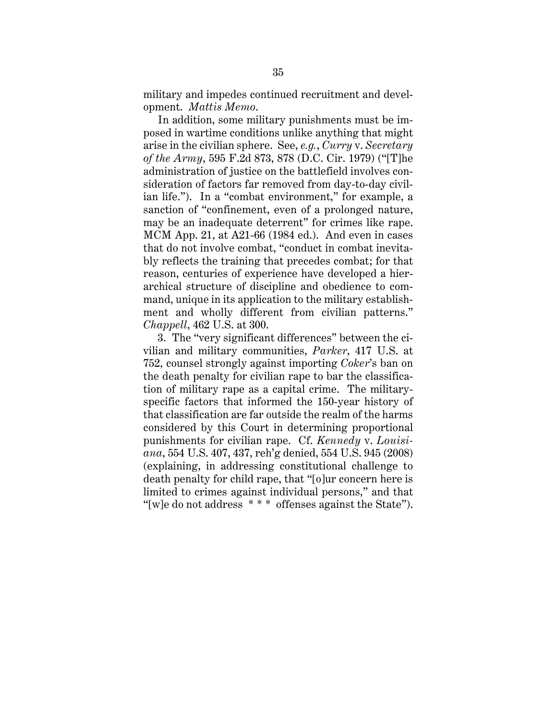military and impedes continued recruitment and development. *Mattis Memo*.

In addition, some military punishments must be imposed in wartime conditions unlike anything that might arise in the civilian sphere. See, *e.g.*, *Curry* v. *Secretary of the Army*, 595 F.2d 873, 878 (D.C. Cir. 1979) ("[T]he administration of justice on the battlefield involves consideration of factors far removed from day-to-day civilian life."). In a "combat environment," for example, a sanction of "confinement, even of a prolonged nature, may be an inadequate deterrent" for crimes like rape. MCM App. 21, at A21-66 (1984 ed.). And even in cases that do not involve combat, "conduct in combat inevitably reflects the training that precedes combat; for that reason, centuries of experience have developed a hierarchical structure of discipline and obedience to command, unique in its application to the military establishment and wholly different from civilian patterns." *Chappell*, 462 U.S. at 300.

3. The "very significant differences" between the civilian and military communities, *Parker*, 417 U.S. at 752, counsel strongly against importing *Coker*'s ban on the death penalty for civilian rape to bar the classification of military rape as a capital crime. The militaryspecific factors that informed the 150-year history of that classification are far outside the realm of the harms considered by this Court in determining proportional punishments for civilian rape. Cf. *Kennedy* v. *Louisiana*, 554 U.S. 407, 437, reh'g denied, 554 U.S. 945 (2008) (explaining, in addressing constitutional challenge to death penalty for child rape, that "[o]ur concern here is limited to crimes against individual persons," and that "[w]e do not address \* \* \* offenses against the State").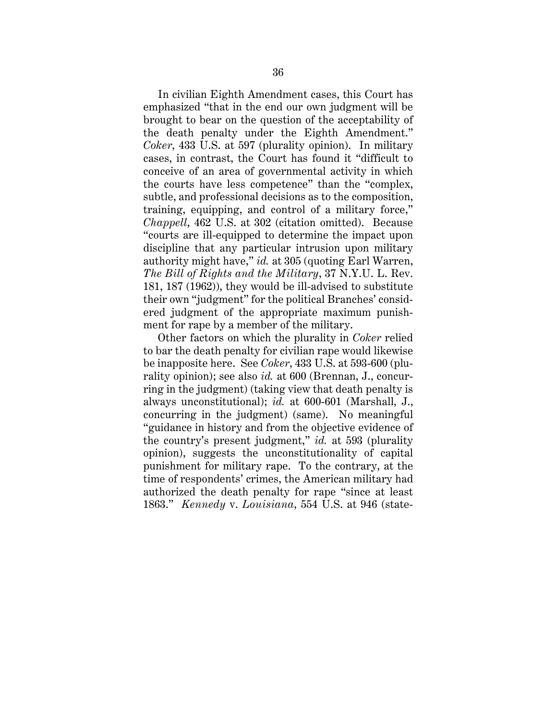In civilian Eighth Amendment cases, this Court has emphasized "that in the end our own judgment will be brought to bear on the question of the acceptability of the death penalty under the Eighth Amendment." *Coker*, 433 U.S. at 597 (plurality opinion). In military cases, in contrast, the Court has found it "difficult to conceive of an area of governmental activity in which the courts have less competence" than the "complex, subtle, and professional decisions as to the composition, training, equipping, and control of a military force," *Chappell*, 462 U.S. at 302 (citation omitted). Because "courts are ill-equipped to determine the impact upon discipline that any particular intrusion upon military authority might have," *id.* at 305 (quoting Earl Warren, *The Bill of Rights and the Military*, 37 N.Y.U. L. Rev. 181, 187 (1962)), they would be ill-advised to substitute their own "judgment" for the political Branches' considered judgment of the appropriate maximum punishment for rape by a member of the military.

Other factors on which the plurality in *Coker* relied to bar the death penalty for civilian rape would likewise be inapposite here. See *Coker*, 433 U.S. at 593-600 (plurality opinion); see also *id.* at 600 (Brennan, J., concurring in the judgment) (taking view that death penalty is always unconstitutional); *id.* at 600-601 (Marshall, J., concurring in the judgment) (same). No meaningful "guidance in history and from the objective evidence of the country's present judgment," *id.* at 593 (plurality opinion), suggests the unconstitutionality of capital punishment for military rape. To the contrary, at the time of respondents' crimes, the American military had authorized the death penalty for rape "since at least 1863." *Kennedy* v. *Louisiana*, 554 U.S. at 946 (state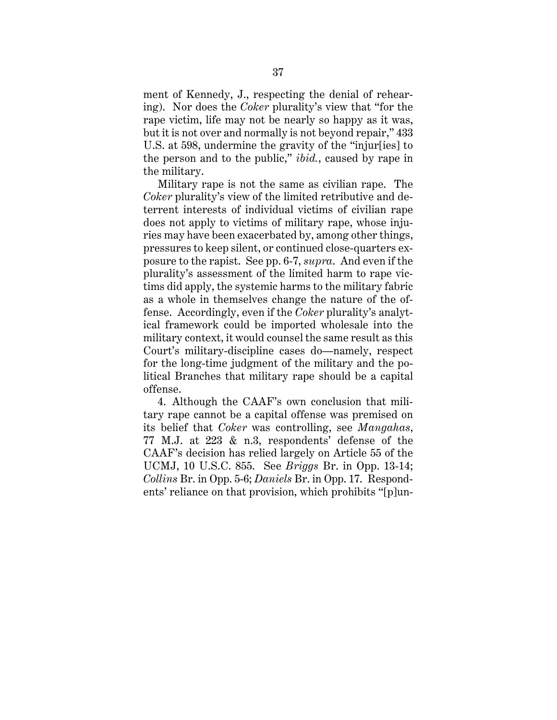ment of Kennedy, J., respecting the denial of rehearing). Nor does the *Coker* plurality's view that "for the rape victim, life may not be nearly so happy as it was, but it is not over and normally is not beyond repair," 433 U.S. at 598, undermine the gravity of the "injur[ies] to the person and to the public," *ibid.*, caused by rape in the military.

Military rape is not the same as civilian rape. The *Coker* plurality's view of the limited retributive and deterrent interests of individual victims of civilian rape does not apply to victims of military rape, whose injuries may have been exacerbated by, among other things, pressures to keep silent, or continued close-quarters exposure to the rapist. See pp. 6-7, *supra*. And even if the plurality's assessment of the limited harm to rape victims did apply, the systemic harms to the military fabric as a whole in themselves change the nature of the offense. Accordingly, even if the *Coker* plurality's analytical framework could be imported wholesale into the military context, it would counsel the same result as this Court's military-discipline cases do—namely, respect for the long-time judgment of the military and the political Branches that military rape should be a capital offense.

4. Although the CAAF's own conclusion that military rape cannot be a capital offense was premised on its belief that *Coker* was controlling, see *Mangahas*, 77 M.J. at 223 & n.3, respondents' defense of the CAAF's decision has relied largely on Article 55 of the UCMJ, 10 U.S.C. 855. See *Briggs* Br. in Opp. 13-14; *Collins* Br. in Opp. 5-6; *Daniels* Br. in Opp. 17. Respondents' reliance on that provision, which prohibits "[p]un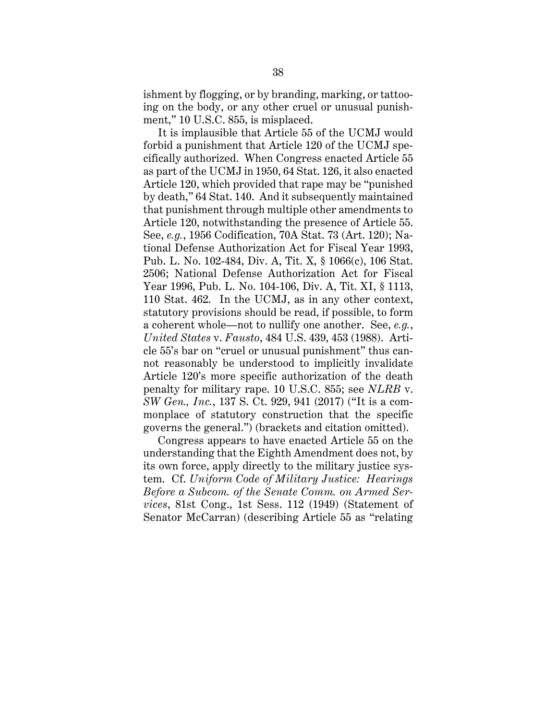ishment by flogging, or by branding, marking, or tattooing on the body, or any other cruel or unusual punishment," 10 U.S.C. 855, is misplaced.

It is implausible that Article 55 of the UCMJ would forbid a punishment that Article 120 of the UCMJ specifically authorized. When Congress enacted Article 55 as part of the UCMJ in 1950, 64 Stat. 126, it also enacted Article 120, which provided that rape may be "punished by death," 64 Stat. 140. And it subsequently maintained that punishment through multiple other amendments to Article 120, notwithstanding the presence of Article 55. See, *e.g.*, 1956 Codification, 70A Stat. 73 (Art. 120); National Defense Authorization Act for Fiscal Year 1993, Pub. L. No. 102-484, Div. A, Tit. X, § 1066(c), 106 Stat. 2506; National Defense Authorization Act for Fiscal Year 1996, Pub. L. No. 104-106, Div. A, Tit. XI, § 1113, 110 Stat. 462. In the UCMJ, as in any other context, statutory provisions should be read, if possible, to form a coherent whole—not to nullify one another. See, *e.g.*, *United States* v. *Fausto*, 484 U.S. 439, 453 (1988). Article 55's bar on "cruel or unusual punishment" thus cannot reasonably be understood to implicitly invalidate Article 120's more specific authorization of the death penalty for military rape. 10 U.S.C. 855; see *NLRB* v. *SW Gen., Inc.*, 137 S. Ct. 929, 941 (2017) ("It is a commonplace of statutory construction that the specific governs the general.") (brackets and citation omitted).

Congress appears to have enacted Article 55 on the understanding that the Eighth Amendment does not, by its own force, apply directly to the military justice system. Cf. *Uniform Code of Military Justice: Hearings Before a Subcom. of the Senate Comm. on Armed Services*, 81st Cong., 1st Sess. 112 (1949) (Statement of Senator McCarran) (describing Article 55 as "relating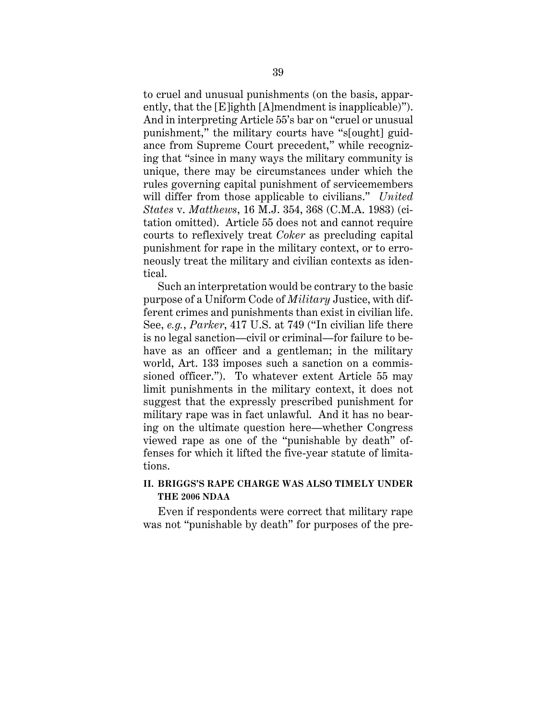to cruel and unusual punishments (on the basis, apparently, that the [E]ighth [A]mendment is inapplicable)"). And in interpreting Article 55's bar on "cruel or unusual punishment," the military courts have "s[ought] guidance from Supreme Court precedent," while recognizing that "since in many ways the military community is unique, there may be circumstances under which the rules governing capital punishment of servicemembers will differ from those applicable to civilians." *United States* v. *Matthews*, 16 M.J. 354, 368 (C.M.A. 1983) (citation omitted). Article 55 does not and cannot require courts to reflexively treat *Coker* as precluding capital punishment for rape in the military context, or to erroneously treat the military and civilian contexts as identical.

Such an interpretation would be contrary to the basic purpose of a Uniform Code of *Military* Justice, with different crimes and punishments than exist in civilian life. See, *e.g.*, *Parker*, 417 U.S. at 749 ("In civilian life there is no legal sanction—civil or criminal—for failure to behave as an officer and a gentleman; in the military world, Art. 133 imposes such a sanction on a commissioned officer."). To whatever extent Article 55 may limit punishments in the military context, it does not suggest that the expressly prescribed punishment for military rape was in fact unlawful. And it has no bearing on the ultimate question here—whether Congress viewed rape as one of the "punishable by death" offenses for which it lifted the five-year statute of limitations.

# **II. BRIGGS'S RAPE CHARGE WAS ALSO TIMELY UNDER THE 2006 NDAA**

Even if respondents were correct that military rape was not "punishable by death" for purposes of the pre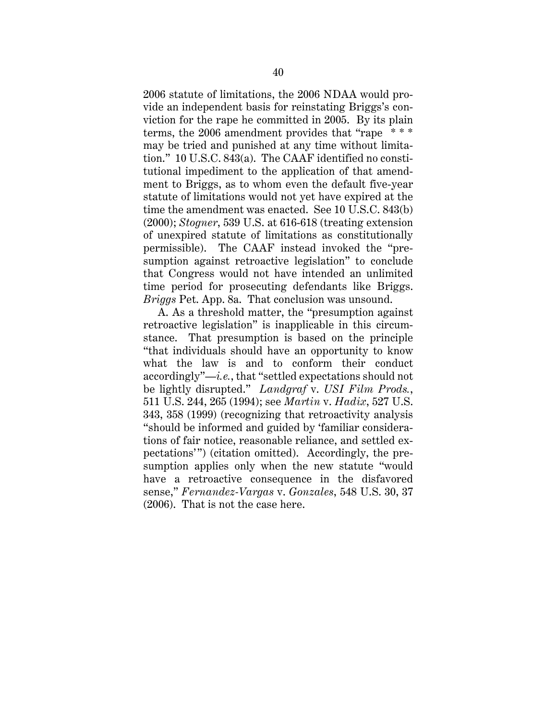2006 statute of limitations, the 2006 NDAA would provide an independent basis for reinstating Briggs's conviction for the rape he committed in 2005. By its plain terms, the 2006 amendment provides that "rape \* \* \* may be tried and punished at any time without limitation." 10 U.S.C. 843(a). The CAAF identified no constitutional impediment to the application of that amendment to Briggs, as to whom even the default five-year statute of limitations would not yet have expired at the time the amendment was enacted. See 10 U.S.C. 843(b) (2000); *Stogner*, 539 U.S. at 616-618 (treating extension of unexpired statute of limitations as constitutionally permissible). The CAAF instead invoked the "presumption against retroactive legislation" to conclude that Congress would not have intended an unlimited time period for prosecuting defendants like Briggs. *Briggs* Pet. App. 8a. That conclusion was unsound.

A. As a threshold matter, the "presumption against retroactive legislation" is inapplicable in this circumstance. That presumption is based on the principle "that individuals should have an opportunity to know what the law is and to conform their conduct accordingly"—*i.e.*, that "settled expectations should not be lightly disrupted." *Landgraf* v. *USI Film Prods.*, 511 U.S. 244, 265 (1994); see *Martin* v. *Hadix*, 527 U.S. 343, 358 (1999) (recognizing that retroactivity analysis "should be informed and guided by 'familiar considerations of fair notice, reasonable reliance, and settled expectations'") (citation omitted). Accordingly, the presumption applies only when the new statute "would have a retroactive consequence in the disfavored sense," *Fernandez-Vargas* v. *Gonzales*, 548 U.S. 30, 37 (2006). That is not the case here.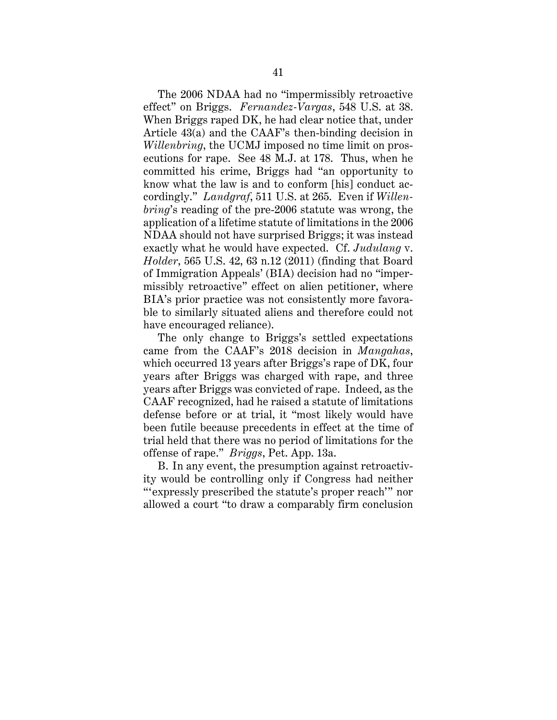The 2006 NDAA had no "impermissibly retroactive effect" on Briggs. *Fernandez-Vargas*, 548 U.S. at 38. When Briggs raped DK, he had clear notice that, under Article 43(a) and the CAAF's then-binding decision in *Willenbring*, the UCMJ imposed no time limit on prosecutions for rape. See 48 M.J. at 178. Thus, when he committed his crime, Briggs had "an opportunity to know what the law is and to conform [his] conduct accordingly." *Landgraf*, 511 U.S. at 265. Even if *Willenbring*'s reading of the pre-2006 statute was wrong, the application of a lifetime statute of limitations in the 2006 NDAA should not have surprised Briggs; it was instead exactly what he would have expected. Cf. *Judulang* v. *Holder*, 565 U.S. 42, 63 n.12 (2011) (finding that Board of Immigration Appeals' (BIA) decision had no "impermissibly retroactive" effect on alien petitioner, where BIA's prior practice was not consistently more favorable to similarly situated aliens and therefore could not have encouraged reliance).

The only change to Briggs's settled expectations came from the CAAF's 2018 decision in *Mangahas*, which occurred 13 years after Briggs's rape of DK, four years after Briggs was charged with rape, and three years after Briggs was convicted of rape. Indeed, as the CAAF recognized, had he raised a statute of limitations defense before or at trial, it "most likely would have been futile because precedents in effect at the time of trial held that there was no period of limitations for the offense of rape." *Briggs*, Pet. App. 13a.

B. In any event, the presumption against retroactivity would be controlling only if Congress had neither "'expressly prescribed the statute's proper reach'" nor allowed a court "to draw a comparably firm conclusion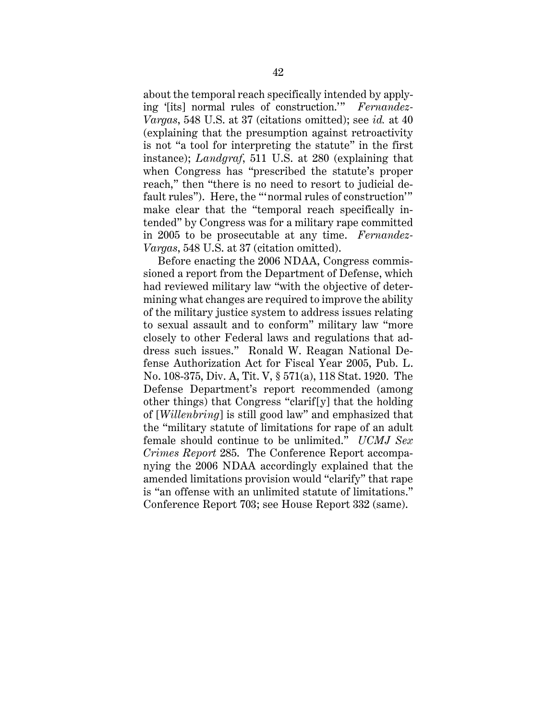about the temporal reach specifically intended by applying '[its] normal rules of construction.'" *Fernandez-Vargas*, 548 U.S. at 37 (citations omitted); see *id.* at 40 (explaining that the presumption against retroactivity is not "a tool for interpreting the statute" in the first instance); *Landgraf*, 511 U.S. at 280 (explaining that when Congress has "prescribed the statute's proper reach," then "there is no need to resort to judicial default rules"). Here, the "'normal rules of construction'" make clear that the "temporal reach specifically intended" by Congress was for a military rape committed in 2005 to be prosecutable at any time. *Fernandez-Vargas*, 548 U.S. at 37 (citation omitted).

Before enacting the 2006 NDAA, Congress commissioned a report from the Department of Defense, which had reviewed military law "with the objective of determining what changes are required to improve the ability of the military justice system to address issues relating to sexual assault and to conform" military law "more closely to other Federal laws and regulations that address such issues." Ronald W. Reagan National Defense Authorization Act for Fiscal Year 2005, Pub. L. No. 108-375, Div. A, Tit. V, § 571(a), 118 Stat. 1920. The Defense Department's report recommended (among other things) that Congress "clarif[y] that the holding of [*Willenbring*] is still good law" and emphasized that the "military statute of limitations for rape of an adult female should continue to be unlimited." *UCMJ Sex Crimes Report* 285. The Conference Report accompanying the 2006 NDAA accordingly explained that the amended limitations provision would "clarify" that rape is "an offense with an unlimited statute of limitations." Conference Report 703; see House Report 332 (same).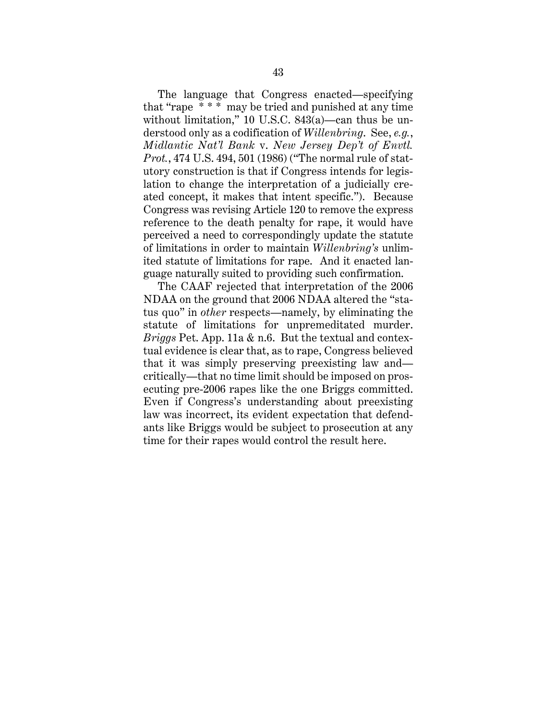The language that Congress enacted—specifying that "rape \* \* \* may be tried and punished at any time without limitation," 10 U.S.C. 843(a)—can thus be understood only as a codification of *Willenbring*. See, *e.g.*, *Midlantic Nat'l Bank* v. *New Jersey Dep't of Envtl. Prot.*, 474 U.S. 494, 501 (1986) ("The normal rule of statutory construction is that if Congress intends for legislation to change the interpretation of a judicially created concept, it makes that intent specific."). Because Congress was revising Article 120 to remove the express reference to the death penalty for rape, it would have perceived a need to correspondingly update the statute of limitations in order to maintain *Willenbring's* unlimited statute of limitations for rape. And it enacted language naturally suited to providing such confirmation.

The CAAF rejected that interpretation of the 2006 NDAA on the ground that 2006 NDAA altered the "status quo" in *other* respects—namely, by eliminating the statute of limitations for unpremeditated murder. *Briggs* Pet. App. 11a & n.6. But the textual and contextual evidence is clear that, as to rape, Congress believed that it was simply preserving preexisting law and critically—that no time limit should be imposed on prosecuting pre-2006 rapes like the one Briggs committed. Even if Congress's understanding about preexisting law was incorrect, its evident expectation that defendants like Briggs would be subject to prosecution at any time for their rapes would control the result here.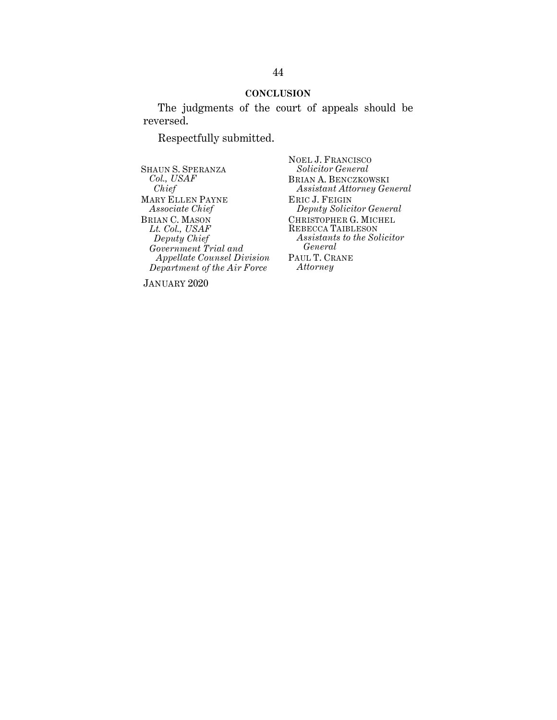### **CONCLUSION**

The judgments of the court of appeals should be reversed.

Respectfully submitted.

SHAUN S. SPERANZA *Col., USAF Chief* MARY ELLEN PAYNE *Associate Chief* BRIAN C. MASON *Lt. Col., USAF Deputy Chief Government Trial and Appellate Counsel Division Department of the Air Force*

NOEL J. FRANCISCO *Solicitor General* BRIAN A. BENCZKOWSKI *Assistant Attorney General* ERIC J. FEIGIN *Deputy Solicitor General* CHRISTOPHER G. MICHEL REBECCA TAIBLESON *Assistants to the Solicitor General* PAUL T. CRANE *Attorney*

JANUARY 2020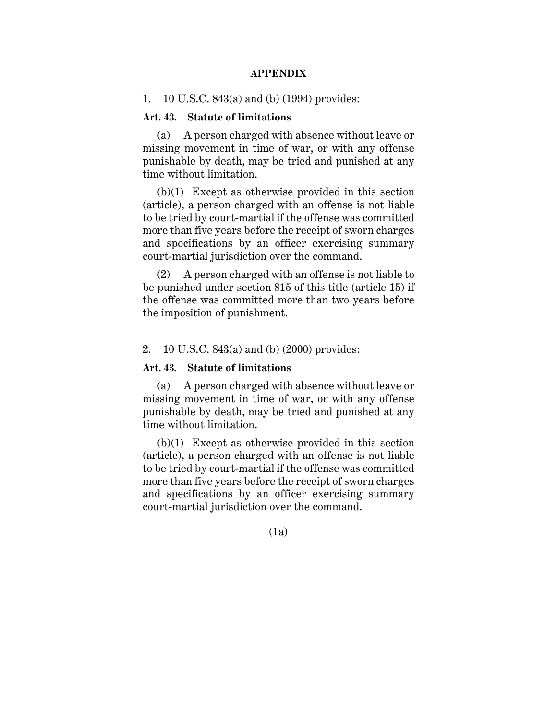#### **APPENDIX**

1. 10 U.S.C. 843(a) and (b) (1994) provides:

### **Art. 43. Statute of limitations**

(a) A person charged with absence without leave or missing movement in time of war, or with any offense punishable by death, may be tried and punished at any time without limitation.

(b)(1) Except as otherwise provided in this section (article), a person charged with an offense is not liable to be tried by court-martial if the offense was committed more than five years before the receipt of sworn charges and specifications by an officer exercising summary court-martial jurisdiction over the command.

(2) A person charged with an offense is not liable to be punished under section 815 of this title (article 15) if the offense was committed more than two years before the imposition of punishment.

### 2. 10 U.S.C. 843(a) and (b) (2000) provides:

### **Art. 43. Statute of limitations**

(a) A person charged with absence without leave or missing movement in time of war, or with any offense punishable by death, may be tried and punished at any time without limitation.

(b)(1) Except as otherwise provided in this section (article), a person charged with an offense is not liable to be tried by court-martial if the offense was committed more than five years before the receipt of sworn charges and specifications by an officer exercising summary court-martial jurisdiction over the command.

(1a)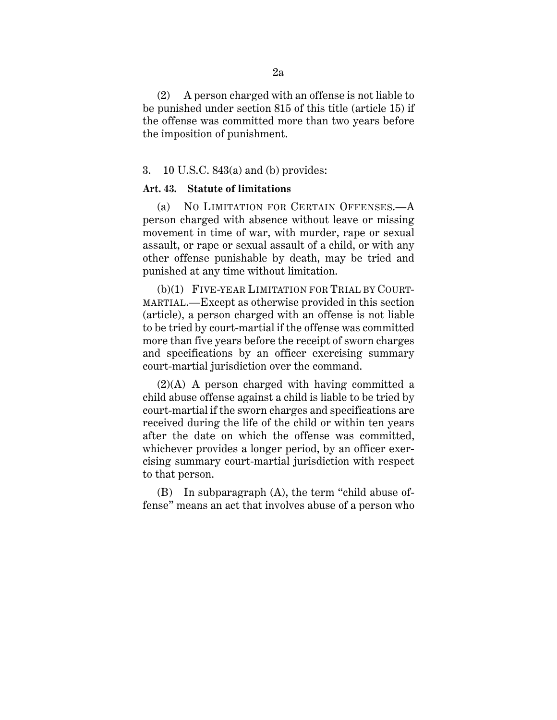(2) A person charged with an offense is not liable to be punished under section 815 of this title (article 15) if the offense was committed more than two years before the imposition of punishment.

### 3. 10 U.S.C. 843(a) and (b) provides:

### **Art. 43. Statute of limitations**

(a) NO LIMITATION FOR CERTAIN OFFENSES.—A person charged with absence without leave or missing movement in time of war, with murder, rape or sexual assault, or rape or sexual assault of a child, or with any other offense punishable by death, may be tried and punished at any time without limitation.

(b)(1) FIVE-YEAR LIMITATION FOR TRIAL BY COURT-MARTIAL.—Except as otherwise provided in this section (article), a person charged with an offense is not liable to be tried by court-martial if the offense was committed more than five years before the receipt of sworn charges and specifications by an officer exercising summary court-martial jurisdiction over the command.

(2)(A) A person charged with having committed a child abuse offense against a child is liable to be tried by court-martial if the sworn charges and specifications are received during the life of the child or within ten years after the date on which the offense was committed, whichever provides a longer period, by an officer exercising summary court-martial jurisdiction with respect to that person.

(B) In subparagraph (A), the term "child abuse offense" means an act that involves abuse of a person who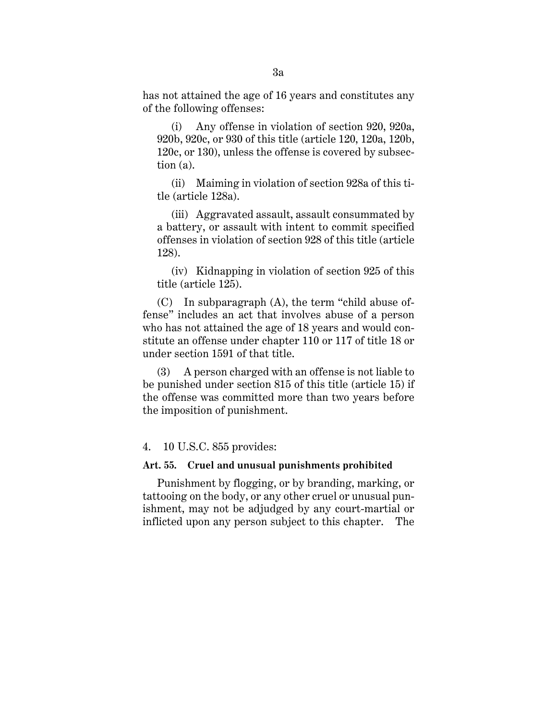has not attained the age of 16 years and constitutes any of the following offenses:

(i) Any offense in violation of section 920, 920a, 920b, 920c, or 930 of this title (article 120, 120a, 120b, 120c, or 130), unless the offense is covered by subsection (a).

(ii) Maiming in violation of section 928a of this title (article 128a).

(iii) Aggravated assault, assault consummated by a battery, or assault with intent to commit specified offenses in violation of section 928 of this title (article 128).

(iv) Kidnapping in violation of section 925 of this title (article 125).

(C) In subparagraph (A), the term "child abuse offense" includes an act that involves abuse of a person who has not attained the age of 18 years and would constitute an offense under chapter 110 or 117 of title 18 or under section 1591 of that title.

(3) A person charged with an offense is not liable to be punished under section 815 of this title (article 15) if the offense was committed more than two years before the imposition of punishment.

### 4. 10 U.S.C. 855 provides:

# **Art. 55. Cruel and unusual punishments prohibited**

Punishment by flogging, or by branding, marking, or tattooing on the body, or any other cruel or unusual punishment, may not be adjudged by any court-martial or inflicted upon any person subject to this chapter. The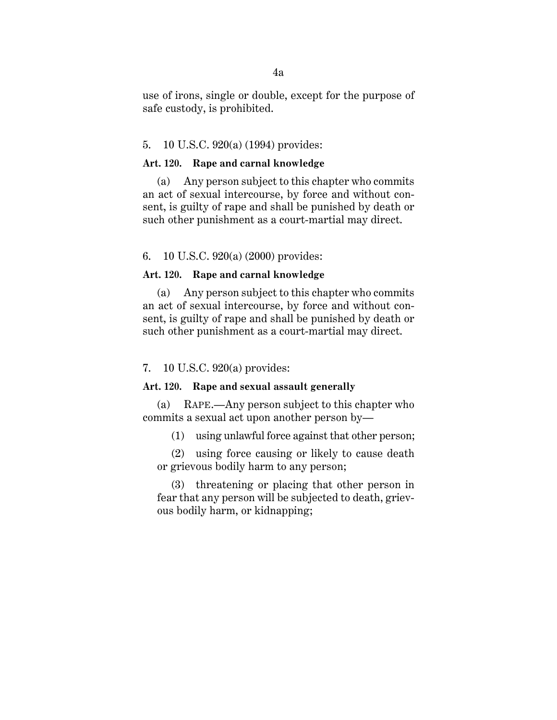use of irons, single or double, except for the purpose of safe custody, is prohibited.

### 5. 10 U.S.C. 920(a) (1994) provides:

### **Art. 120. Rape and carnal knowledge**

(a) Any person subject to this chapter who commits an act of sexual intercourse, by force and without consent, is guilty of rape and shall be punished by death or such other punishment as a court-martial may direct.

## 6. 10 U.S.C. 920(a) (2000) provides:

### **Art. 120. Rape and carnal knowledge**

(a) Any person subject to this chapter who commits an act of sexual intercourse, by force and without consent, is guilty of rape and shall be punished by death or such other punishment as a court-martial may direct.

### 7. 10 U.S.C. 920(a) provides:

# **Art. 120. Rape and sexual assault generally**

(a) RAPE.—Any person subject to this chapter who commits a sexual act upon another person by—

(1) using unlawful force against that other person;

(2) using force causing or likely to cause death or grievous bodily harm to any person;

(3) threatening or placing that other person in fear that any person will be subjected to death, grievous bodily harm, or kidnapping;